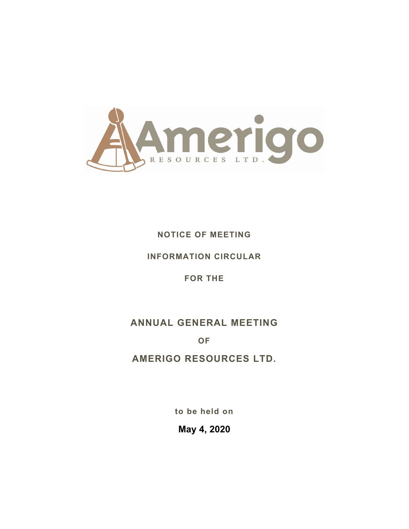

# **NOTICE OF MEETING**

# **INFORMATION CIRCULAR**

# **FOR THE**

# **ANNUAL GENERAL MEETING**

**OF** 

**AMERIGO RESOURCES LTD.** 

**to be held on** 

**May 4, 2020**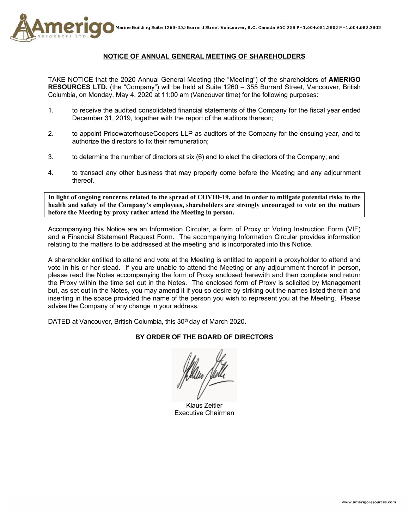

## **NOTICE OF ANNUAL GENERAL MEETING OF SHAREHOLDERS**

TAKE NOTICE that the 2020 Annual General Meeting (the "Meeting") of the shareholders of **AMERIGO RESOURCES LTD.** (the "Company") will be held at Suite 1260 – 355 Burrard Street, Vancouver, British Columbia, on Monday, May 4, 2020 at 11:00 am (Vancouver time) for the following purposes:

- 1. to receive the audited consolidated financial statements of the Company for the fiscal year ended December 31, 2019, together with the report of the auditors thereon;
- 2. to appoint PricewaterhouseCoopers LLP as auditors of the Company for the ensuing year, and to authorize the directors to fix their remuneration;
- 3. to determine the number of directors at six (6) and to elect the directors of the Company; and
- 4. to transact any other business that may properly come before the Meeting and any adjournment thereof.

**In light of ongoing concerns related to the spread of COVID-19, and in order to mitigate potential risks to the health and safety of the Company's employees, shareholders are strongly encouraged to vote on the matters before the Meeting by proxy rather attend the Meeting in person.**

Accompanying this Notice are an Information Circular, a form of Proxy or Voting Instruction Form (VIF) and a Financial Statement Request Form. The accompanying Information Circular provides information relating to the matters to be addressed at the meeting and is incorporated into this Notice.

A shareholder entitled to attend and vote at the Meeting is entitled to appoint a proxyholder to attend and vote in his or her stead. If you are unable to attend the Meeting or any adjournment thereof in person, please read the Notes accompanying the form of Proxy enclosed herewith and then complete and return the Proxy within the time set out in the Notes. The enclosed form of Proxy is solicited by Management but, as set out in the Notes, you may amend it if you so desire by striking out the names listed therein and inserting in the space provided the name of the person you wish to represent you at the Meeting. Please advise the Company of any change in your address.

DATED at Vancouver, British Columbia, this 30<sup>th</sup> day of March 2020.

## **BY ORDER OF THE BOARD OF DIRECTORS**

Klaus Zeitler Executive Chairman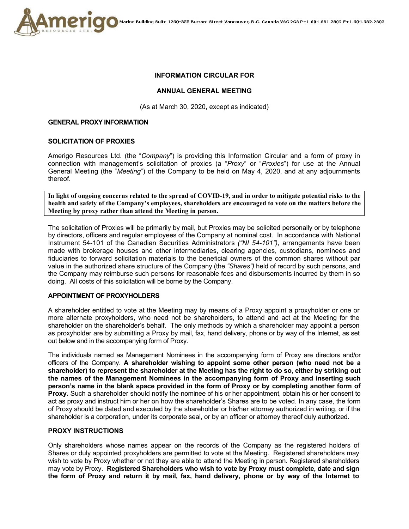

## **INFORMATION CIRCULAR FOR**

#### **ANNUAL GENERAL MEETING**

(As at March 30, 2020, except as indicated)

#### **GENERAL PROXY INFORMATION**

#### **SOLICITATION OF PROXIES**

Amerigo Resources Ltd. (the "*Company*") is providing this Information Circular and a form of proxy in connection with management's solicitation of proxies (a "*Proxy*" or "*Proxies*") for use at the Annual General Meeting (the "*Meeting*") of the Company to be held on May 4, 2020, and at any adjournments thereof.

**In light of ongoing concerns related to the spread of COVID-19, and in order to mitigate potential risks to the health and safety of the Company's employees, shareholders are encouraged to vote on the matters before the Meeting by proxy rather than attend the Meeting in person.**

The solicitation of Proxies will be primarily by mail, but Proxies may be solicited personally or by telephone by directors, officers and regular employees of the Company at nominal cost. In accordance with National Instrument 54-101 of the Canadian Securities Administrators *("NI 54-101"),* arrangements have been made with brokerage houses and other intermediaries, clearing agencies, custodians, nominees and fiduciaries to forward solicitation materials to the beneficial owners of the common shares without par value in the authorized share structure of the Company (the *"Shares")* held of record by such persons, and the Company may reimburse such persons for reasonable fees and disbursements incurred by them in so doing. All costs of this solicitation will be borne by the Company.

## **APPOINTMENT OF PROXYHOLDERS**

A shareholder entitled to vote at the Meeting may by means of a Proxy appoint a proxyholder or one or more alternate proxyholders, who need not be shareholders, to attend and act at the Meeting for the shareholder on the shareholder's behalf. The only methods by which a shareholder may appoint a person as proxyholder are by submitting a Proxy by mail, fax, hand delivery, phone or by way of the Internet, as set out below and in the accompanying form of Proxy.

The individuals named as Management Nominees in the accompanying form of Proxy are directors and/or officers of the Company. **A shareholder wishing to appoint some other person (who need not be a shareholder) to represent the shareholder at the Meeting has the right to do so, either by striking out the names of the Management Nominees in the accompanying form of Proxy and inserting such person's name in the blank space provided in the form of Proxy or by completing another form of Proxy.** Such a shareholder should notify the nominee of his or her appointment, obtain his or her consent to act as proxy and instruct him or her on how the shareholder's Shares are to be voted. In any case, the form of Proxy should be dated and executed by the shareholder or his/her attorney authorized in writing, or if the shareholder is a corporation, under its corporate seal, or by an officer or attorney thereof duly authorized.

#### **PROXY INSTRUCTIONS**

Only shareholders whose names appear on the records of the Company as the registered holders of Shares or duly appointed proxyholders are permitted to vote at the Meeting. Registered shareholders may wish to vote by Proxy whether or not they are able to attend the Meeting in person. Registered shareholders may vote by Proxy. **Registered Shareholders who wish to vote by Proxy must complete, date and sign the form of Proxy and return it by mail, fax, hand delivery, phone or by way of the Internet to**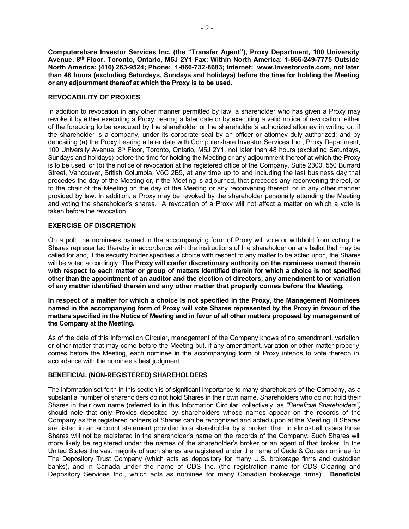**Computershare Investor Services Inc. (the "Transfer Agent"), Proxy Department, 100 University Avenue, 8th Floor, Toronto, Ontario, M5J 2Y1 Fax: Within North America: 1-866-249-7775 Outside North America: (416) 263-9524; Phone: 1-866-732-8683; Internet: www.investorvote.com, not later than 48 hours (excluding Saturdays, Sundays and holidays) before the time for holding the Meeting or any adjournment thereof at which the Proxy is to be used.** 

## **REVOCABILITY OF PROXIES**

In addition to revocation in any other manner permitted by law, a shareholder who has given a Proxy may revoke it by either executing a Proxy bearing a later date or by executing a valid notice of revocation, either of the foregoing to be executed by the shareholder or the shareholder's authorized attorney in writing or, if the shareholder is a company, under its corporate seal by an officer or attorney duly authorized; and by depositing (a) the Proxy bearing a later date with Computershare Investor Services Inc., Proxy Department, 100 University Avenue,  $8<sup>th</sup>$  Floor, Toronto, Ontario, M5J 2Y1, not later than 48 hours (excluding Saturdays, Sundays and holidays) before the time for holding the Meeting or any adjournment thereof at which the Proxy is to be used; or (b) the notice of revocation at the registered office of the Company, Suite 2300, 550 Burrard Street, Vancouver, British Columbia, V6C 2B5, at any time up to and including the last business day that precedes the day of the Meeting or, if the Meeting is adjourned, that precedes any reconvening thereof, or to the chair of the Meeting on the day of the Meeting or any reconvening thereof, or in any other manner provided by law. In addition, a Proxy may be revoked by the shareholder personally attending the Meeting and voting the shareholder's shares. A revocation of a Proxy will not affect a matter on which a vote is taken before the revocation.

## **EXERCISE OF DISCRETION**

On a poll, the nominees named in the accompanying form of Proxy will vote or withhold from voting the Shares represented thereby in accordance with the instructions of the shareholder on any ballot that may be called for and, if the security holder specifies a choice with respect to any matter to be acted upon, the Shares will be voted accordingly. **The Proxy will confer discretionary authority on the nominees named therein with respect to each matter or group of matters identified therein for which a choice is not specified other than the appointment of an auditor and the election of directors, any amendment to or variation of any matter identified therein and any other matter that properly comes before the Meeting.** 

**In respect of a matter for which a choice is not specified in the Proxy, the Management Nominees named in the accompanying form of Proxy will vote Shares represented by the Proxy in favour of the matters specified in the Notice of Meeting and in favor of all other matters proposed by management of the Company at the Meeting.** 

As of the date of this Information Circular, management of the Company knows of no amendment, variation or other matter that may come before the Meeting but, if any amendment, variation or other matter properly comes before the Meeting, each nominee in the accompanying form of Proxy intends to vote thereon in accordance with the nominee's best judgment.

## **BENEFICIAL (NON-REGISTERED) SHAREHOLDERS**

The information set forth in this section is of significant importance to many shareholders of the Company, as a substantial number of shareholders do not hold Shares in their own name. Shareholders who do not hold their Shares in their own name (referred to in this Information Circular, collectively, as *"Beneficial Shareholders")*  should note that only Proxies deposited by shareholders whose names appear on the records of the Company as the registered holders of Shares can be recognized and acted upon at the Meeting. If Shares are listed in an account statement provided to a shareholder by a broker, then in almost all cases those Shares will not be registered in the shareholder's name on the records of the Company. Such Shares will more likely be registered under the names of the shareholder's broker or an agent of that broker. In the United States the vast majority of such shares are registered under the name of Cede & Co. as nominee for The Depository Trust Company (which acts as depository for many U.S. brokerage firms and custodian banks), and in Canada under the name of CDS Inc. (the registration name for CDS Clearing and Depository Services Inc., which acts as nominee for many Canadian brokerage firms). **Beneficial**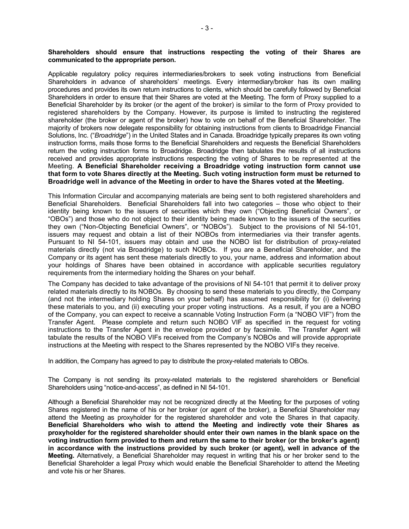#### **Shareholders should ensure that instructions respecting the voting of their Shares are communicated to the appropriate person.**

Applicable regulatory policy requires intermediaries/brokers to seek voting instructions from Beneficial Shareholders in advance of shareholders' meetings. Every intermediary/broker has its own mailing procedures and provides its own return instructions to clients, which should be carefully followed by Beneficial Shareholders in order to ensure that their Shares are voted at the Meeting. The form of Proxy supplied to a Beneficial Shareholder by its broker (or the agent of the broker) is similar to the form of Proxy provided to registered shareholders by the Company. However, its purpose is limited to instructing the registered shareholder (the broker or agent of the broker) how to vote on behalf of the Beneficial Shareholder. The majority of brokers now delegate responsibility for obtaining instructions from clients to Broadridge Financial Solutions, Inc. ("*Broadridge*") in the United States and in Canada. Broadridge typically prepares its own voting instruction forms, mails those forms to the Beneficial Shareholders and requests the Beneficial Shareholders return the voting instruction forms to Broadridge. Broadridge then tabulates the results of all instructions received and provides appropriate instructions respecting the voting of Shares to be represented at the Meeting. **A Beneficial Shareholder receiving a Broadridge voting instruction form cannot use that form to vote Shares directly at the Meeting. Such voting instruction form must be returned to Broadridge well in advance of the Meeting in order to have the Shares voted at the Meeting.** 

This Information Circular and accompanying materials are being sent to both registered shareholders and Beneficial Shareholders. Beneficial Shareholders fall into two categories – those who object to their identity being known to the issuers of securities which they own ("Objecting Beneficial Owners", or "OBOs") and those who do not object to their identity being made known to the issuers of the securities they own ("Non-Objecting Beneficial Owners", or "NOBOs"). Subject to the provisions of NI 54-101, issuers may request and obtain a list of their NOBOs from intermediaries via their transfer agents. Pursuant to NI 54-101, issuers may obtain and use the NOBO list for distribution of proxy-related materials directly (not via Broadridge) to such NOBOs. If you are a Beneficial Shareholder, and the Company or its agent has sent these materials directly to you, your name, address and information about your holdings of Shares have been obtained in accordance with applicable securities regulatory requirements from the intermediary holding the Shares on your behalf.

The Company has decided to take advantage of the provisions of NI 54-101 that permit it to deliver proxy related materials directly to its NOBOs. By choosing to send these materials to you directly, the Company (and not the intermediary holding Shares on your behalf) has assumed responsibility for (i) delivering these materials to you, and (ii) executing your proper voting instructions. As a result, if you are a NOBO of the Company, you can expect to receive a scannable Voting Instruction Form (a "NOBO VIF") from the Transfer Agent. Please complete and return such NOBO VIF as specified in the request for voting instructions to the Transfer Agent in the envelope provided or by facsimile. The Transfer Agent will tabulate the results of the NOBO VIFs received from the Company's NOBOs and will provide appropriate instructions at the Meeting with respect to the Shares represented by the NOBO VIFs they receive.

In addition, the Company has agreed to pay to distribute the proxy-related materials to OBOs.

The Company is not sending its proxy-related materials to the registered shareholders or Beneficial Shareholders using "notice-and-access", as defined in NI 54-101.

Although a Beneficial Shareholder may not be recognized directly at the Meeting for the purposes of voting Shares registered in the name of his or her broker (or agent of the broker), a Beneficial Shareholder may attend the Meeting as proxyholder for the registered shareholder and vote the Shares in that capacity. **Beneficial Shareholders who wish to attend the Meeting and indirectly vote their Shares as proxyholder for the registered shareholder should enter their own names in the blank space on the voting instruction form provided to them and return the same to their broker (or the broker's agent) in accordance with the instructions provided by such broker (or agent), well in advance of the Meeting.** Alternatively, a Beneficial Shareholder may request in writing that his or her broker send to the Beneficial Shareholder a legal Proxy which would enable the Beneficial Shareholder to attend the Meeting and vote his or her Shares.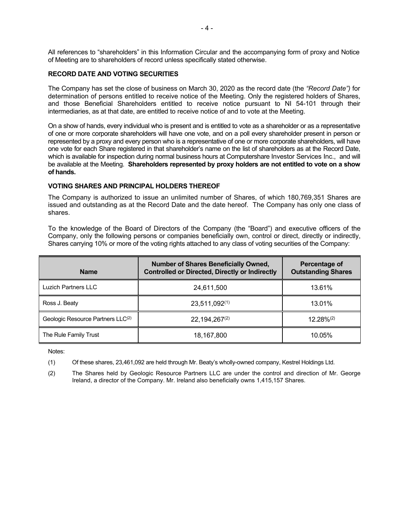All references to "shareholders" in this Information Circular and the accompanying form of proxy and Notice of Meeting are to shareholders of record unless specifically stated otherwise.

#### **RECORD DATE AND VOTING SECURITIES**

The Company has set the close of business on March 30, 2020 as the record date (the *"Record Date")* for determination of persons entitled to receive notice of the Meeting. Only the registered holders of Shares, and those Beneficial Shareholders entitled to receive notice pursuant to NI 54-101 through their intermediaries, as at that date, are entitled to receive notice of and to vote at the Meeting.

On a show of hands, every individual who is present and is entitled to vote as a shareholder or as a representative of one or more corporate shareholders will have one vote, and on a poll every shareholder present in person or represented by a proxy and every person who is a representative of one or more corporate shareholders, will have one vote for each Share registered in that shareholder's name on the list of shareholders as at the Record Date, which is available for inspection during normal business hours at Computershare Investor Services Inc., and will be available at the Meeting. **Shareholders represented by proxy holders are not entitled to vote on a show of hands.**

## **VOTING SHARES AND PRINCIPAL HOLDERS THEREOF**

The Company is authorized to issue an unlimited number of Shares, of which 180,769,351 Shares are issued and outstanding as at the Record Date and the date hereof. The Company has only one class of shares.

To the knowledge of the Board of Directors of the Company (the "Board") and executive officers of the Company, only the following persons or companies beneficially own, control or direct, directly or indirectly, Shares carrying 10% or more of the voting rights attached to any class of voting securities of the Company:

| <b>Name</b>                       | <b>Number of Shares Beneficially Owned,</b><br><b>Controlled or Directed, Directly or Indirectly</b> | Percentage of<br><b>Outstanding Shares</b> |
|-----------------------------------|------------------------------------------------------------------------------------------------------|--------------------------------------------|
| Luzich Partners LLC               | 24,611,500                                                                                           | 13.61%                                     |
| Ross J. Beaty                     | $23,511,092^{(1)}$                                                                                   | 13.01%                                     |
| Geologic Resource Partners LLC(2) | $22,194,267^{(2)}$                                                                                   | $12.28\%^{(2)}$                            |
| The Rule Family Trust             | 18,167,800                                                                                           | 10.05%                                     |

Notes:

(1) Of these shares, 23,461,092 are held through Mr. Beaty's wholly-owned company, Kestrel Holdings Ltd.

(2) The Shares held by Geologic Resource Partners LLC are under the control and direction of Mr. George Ireland, a director of the Company. Mr. Ireland also beneficially owns 1,415,157 Shares.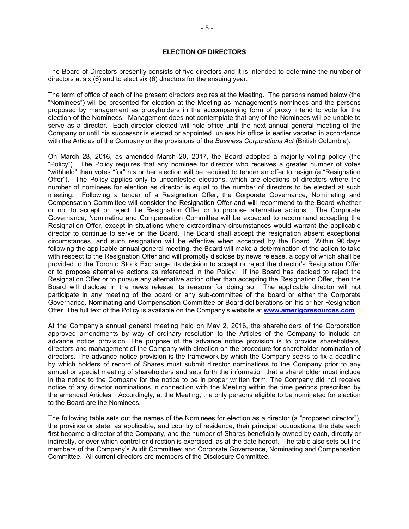The Board of Directors presently consists of five directors and it is intended to determine the number of directors at six (6) and to elect six (6) directors for the ensuing year.

The term of office of each of the present directors expires at the Meeting. The persons named below (the "Nominees") will be presented for election at the Meeting as management's nominees and the persons proposed by management as proxyholders in the accompanying form of proxy intend to vote for the election of the Nominees. Management does not contemplate that any of the Nominees will be unable to serve as a director. Each director elected will hold office until the next annual general meeting of the Company or until his successor is elected or appointed, unless his office is earlier vacated in accordance with the Articles of the Company or the provisions of the *Business Corporations Act* (British Columbia).

On March 28, 2016, as amended March 20, 2017, the Board adopted a majority voting policy (the "Policy"). The Policy requires that any nominee for director who receives a greater number of votes "withheld" than votes "for" his or her election will be required to tender an offer to resign (a "Resignation Offer"). The Policy applies only to uncontested elections, which are elections of directors where the number of nominees for election as director is equal to the number of directors to be elected at such meeting. Following a tender of a Resignation Offer, the Corporate Governance, Nominating and Compensation Committee will consider the Resignation Offer and will recommend to the Board whether or not to accept or reject the Resignation Offer or to propose alternative actions. The Corporate Governance, Nominating and Compensation Committee will be expected to recommend accepting the Resignation Offer, except in situations where extraordinary circumstances would warrant the applicable director to continue to serve on the Board. The Board shall accept the resignation absent exceptional circumstances, and such resignation will be effective when accepted by the Board. Within 90 days following the applicable annual general meeting, the Board will make a determination of the action to take with respect to the Resignation Offer and will promptly disclose by news release, a copy of which shall be provided to the Toronto Stock Exchange, its decision to accept or reject the director's Resignation Offer or to propose alternative actions as referenced in the Policy. If the Board has decided to reject the Resignation Offer or to pursue any alternative action other than accepting the Resignation Offer, then the Board will disclose in the news release its reasons for doing so. The applicable director will not participate in any meeting of the board or any sub-committee of the board or either the Corporate Governance, Nominating and Compensation Committee or Board deliberations on his or her Resignation Offer. The full text of the Policy is available on the Company's website at **www.amerigoresources.com**.

At the Company's annual general meeting held on May 2, 2016, the shareholders of the Corporation approved amendments by way of ordinary resolution to the Articles of the Company to include an advance notice provision. The purpose of the advance notice provision is to provide shareholders, directors and management of the Company with direction on the procedure for shareholder nomination of directors. The advance notice provision is the framework by which the Company seeks to fix a deadline by which holders of record of Shares must submit director nominations to the Company prior to any annual or special meeting of shareholders and sets forth the information that a shareholder must include in the notice to the Company for the notice to be in proper written form. The Company did not receive notice of any director nominations in connection with the Meeting within the time periods prescribed by the amended Articles. Accordingly, at the Meeting, the only persons eligible to be nominated for election to the Board are the Nominees.

The following table sets out the names of the Nominees for election as a director (a "proposed director"), the province or state, as applicable, and country of residence, their principal occupations, the date each first became a director of the Company, and the number of Shares beneficially owned by each, directly or indirectly, or over which control or direction is exercised, as at the date hereof. The table also sets out the members of the Company's Audit Committee; and Corporate Governance, Nominating and Compensation Committee. All current directors are members of the Disclosure Committee.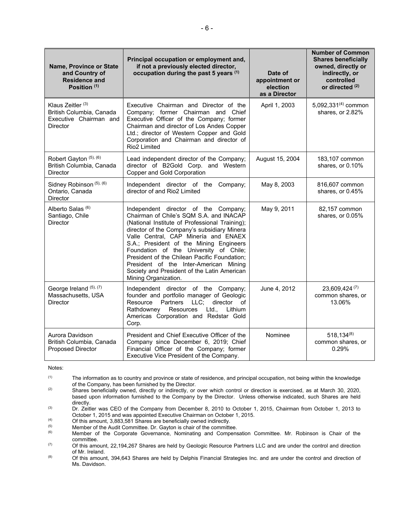| Name, Province or State<br>and Country of<br><b>Residence and</b><br>Position <sup>(1)</sup>          | Principal occupation or employment and,<br>if not a previously elected director,<br>occupation during the past 5 years (1)                                                                                                                                                                                                                                                                                                                                                     | Date of<br>appointment or<br>election<br>as a Director | <b>Number of Common</b><br><b>Shares beneficially</b><br>owned, directly or<br>indirectly, or<br>controlled<br>or directed (2) |
|-------------------------------------------------------------------------------------------------------|--------------------------------------------------------------------------------------------------------------------------------------------------------------------------------------------------------------------------------------------------------------------------------------------------------------------------------------------------------------------------------------------------------------------------------------------------------------------------------|--------------------------------------------------------|--------------------------------------------------------------------------------------------------------------------------------|
| Klaus Zeitler <sup>(3)</sup><br>British Columbia, Canada<br>Executive Chairman and<br><b>Director</b> | Executive Chairman and Director of the<br>Company; former Chairman and Chief<br>Executive Officer of the Company; former<br>Chairman and director of Los Andes Copper<br>Ltd.; director of Western Copper and Gold<br>Corporation and Chairman and director of<br>Rio <sub>2</sub> Limited                                                                                                                                                                                     | April 1, 2003                                          | 5,092,331 $(4)$ common<br>shares, or 2.82%                                                                                     |
| Robert Gayton (5), (6)<br>British Columbia, Canada<br><b>Director</b>                                 | Lead independent director of the Company;<br>director of B2Gold Corp. and Western<br>Copper and Gold Corporation                                                                                                                                                                                                                                                                                                                                                               | August 15, 2004                                        | 183,107 common<br>shares, or 0.10%                                                                                             |
| Sidney Robinson (5), (6)<br>Ontario, Canada<br>Director                                               | Independent director of the Company;<br>director of and Rio2 Limited                                                                                                                                                                                                                                                                                                                                                                                                           | May 8, 2003                                            | 816,607 common<br>shares, or 0.45%                                                                                             |
| Alberto Salas <sup>(6)</sup><br>Santiago, Chile<br>Director                                           | Independent director of the Company;<br>Chairman of Chile's SQM S.A. and INACAP<br>(National Institute of Professional Training);<br>director of the Company's subsidiary Minera<br>Valle Central, CAP Minería and ENAEX<br>S.A.; President of the Mining Engineers<br>Foundation of the University of Chile;<br>President of the Chilean Pacific Foundation;<br>President of the Inter-American Mining<br>Society and President of the Latin American<br>Mining Organization. | May 9, 2011                                            | 82,157 common<br>shares, or 0.05%                                                                                              |
| George Ireland (5), (7)<br>Massachusetts, USA<br><b>Director</b>                                      | Independent director of the Company;<br>founder and portfolio manager of Geologic<br>Partners<br>LLC;<br>director of<br>Resource<br>Rathdowney<br>Resources<br>Ltd.,<br>Lithium<br>Americas Corporation and Redstar Gold<br>Corp.                                                                                                                                                                                                                                              | June 4, 2012                                           | 23,609,424 (7)<br>common shares, or<br>13.06%                                                                                  |
| Aurora Davidson<br>British Columbia, Canada<br><b>Proposed Director</b>                               | President and Chief Executive Officer of the<br>Company since December 6, 2019; Chief<br>Financial Officer of the Company; former<br>Executive Vice President of the Company.                                                                                                                                                                                                                                                                                                  | Nominee                                                | $518, 134^{(8)}$<br>common shares, or<br>0.29%                                                                                 |

Notes:

(1) The information as to country and province or state of residence, and principal occupation, not being within the knowledge of the Company, has been furnished by the Director.

(2) Shares beneficially owned, directly or indirectly, or over which control or direction is exercised, as at March 30, 2020, based upon information furnished to the Company by the Director. Unless otherwise indicated, such Shares are held directly.

(3) Dr. Zeitler was CEO of the Company from December 8, 2010 to October 1, 2015, Chairman from October 1, 2013 to October 1, 2015 and was appointed Executive Chairman on October 1, 2015.

(4)  $\overrightarrow{O}$  Of this amount, 3,883,581 Shares are beneficially owned indirectly.

 $(5)$  Member of the Audit Committee. Dr. Gayton is chair of the committee.<br> $(6)$  Member of the Corporate Governance Nominating and Compens

Member of the Corporate Governance, Nominating and Compensation Committee. Mr. Robinson is Chair of the committee.

 $(7)$  Of this amount, 22,194,267 Shares are held by Geologic Resource Partners LLC and are under the control and direction of Mr. Ireland.

(8) Of this amount, 394,643 Shares are held by Delphis Financial Strategies Inc. and are under the control and direction of Ms. Davidson.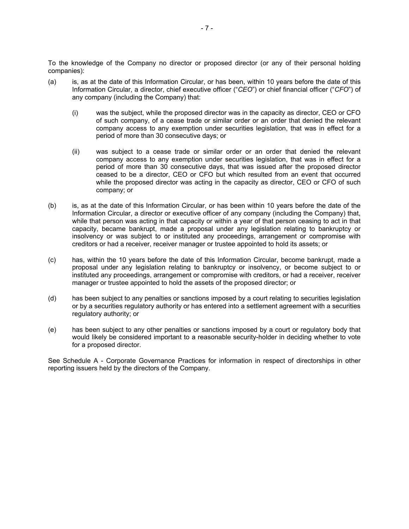To the knowledge of the Company no director or proposed director (or any of their personal holding companies):

- (a) is, as at the date of this Information Circular, or has been, within 10 years before the date of this Information Circular, a director, chief executive officer ("*CEO*") or chief financial officer ("*CFO*") of any company (including the Company) that:
	- (i) was the subject, while the proposed director was in the capacity as director, CEO or CFO of such company, of a cease trade or similar order or an order that denied the relevant company access to any exemption under securities legislation, that was in effect for a period of more than 30 consecutive days; or
	- (ii) was subject to a cease trade or similar order or an order that denied the relevant company access to any exemption under securities legislation, that was in effect for a period of more than 30 consecutive days, that was issued after the proposed director ceased to be a director, CEO or CFO but which resulted from an event that occurred while the proposed director was acting in the capacity as director, CEO or CFO of such company; or
- (b) is, as at the date of this Information Circular, or has been within 10 years before the date of the Information Circular, a director or executive officer of any company (including the Company) that, while that person was acting in that capacity or within a year of that person ceasing to act in that capacity, became bankrupt, made a proposal under any legislation relating to bankruptcy or insolvency or was subject to or instituted any proceedings, arrangement or compromise with creditors or had a receiver, receiver manager or trustee appointed to hold its assets; or
- (c) has, within the 10 years before the date of this Information Circular, become bankrupt, made a proposal under any legislation relating to bankruptcy or insolvency, or become subject to or instituted any proceedings, arrangement or compromise with creditors, or had a receiver, receiver manager or trustee appointed to hold the assets of the proposed director; or
- (d) has been subject to any penalties or sanctions imposed by a court relating to securities legislation or by a securities regulatory authority or has entered into a settlement agreement with a securities regulatory authority; or
- (e) has been subject to any other penalties or sanctions imposed by a court or regulatory body that would likely be considered important to a reasonable security-holder in deciding whether to vote for a proposed director.

See Schedule A - Corporate Governance Practices for information in respect of directorships in other reporting issuers held by the directors of the Company.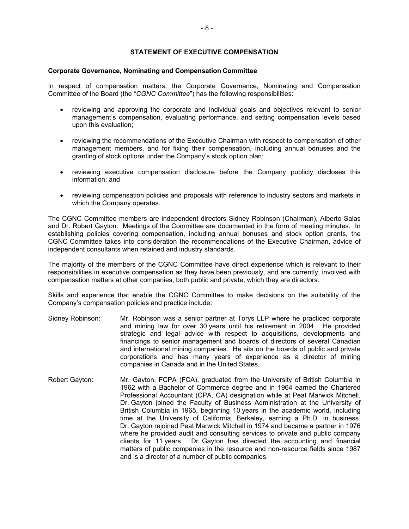## **STATEMENT OF EXECUTIVE COMPENSATION**

#### **Corporate Governance, Nominating and Compensation Committee**

In respect of compensation matters, the Corporate Governance, Nominating and Compensation Committee of the Board (the "*CGNC Committee*") has the following responsibilities:

- reviewing and approving the corporate and individual goals and objectives relevant to senior management's compensation, evaluating performance, and setting compensation levels based upon this evaluation;
- reviewing the recommendations of the Executive Chairman with respect to compensation of other management members, and for fixing their compensation, including annual bonuses and the granting of stock options under the Company's stock option plan;
- reviewing executive compensation disclosure before the Company publicly discloses this information; and
- reviewing compensation policies and proposals with reference to industry sectors and markets in which the Company operates.

The CGNC Committee members are independent directors Sidney Robinson (Chairman), Alberto Salas and Dr. Robert Gayton. Meetings of the Committee are documented in the form of meeting minutes. In establishing policies covering compensation, including annual bonuses and stock option grants, the CGNC Committee takes into consideration the recommendations of the Executive Chairman, advice of independent consultants when retained and industry standards.

The majority of the members of the CGNC Committee have direct experience which is relevant to their responsibilities in executive compensation as they have been previously, and are currently, involved with compensation matters at other companies, both public and private, which they are directors.

Skills and experience that enable the CGNC Committee to make decisions on the suitability of the Company's compensation policies and practice include:

- Sidney Robinson: Mr. Robinson was a senior partner at Torys LLP where he practiced corporate and mining law for over 30 years until his retirement in 2004. He provided strategic and legal advice with respect to acquisitions, developments and financings to senior management and boards of directors of several Canadian and international mining companies. He sits on the boards of public and private corporations and has many years of experience as a director of mining companies in Canada and in the United States.
- Robert Gayton: Mr. Gayton, FCPA (FCA), graduated from the University of British Columbia in 1962 with a Bachelor of Commerce degree and in 1964 earned the Chartered Professional Accountant (CPA, CA) designation while at Peat Marwick Mitchell. Dr. Gayton joined the Faculty of Business Administration at the University of British Columbia in 1965, beginning 10 years in the academic world, including time at the University of California, Berkeley, earning a Ph.D. in business. Dr. Gayton rejoined Peat Marwick Mitchell in 1974 and became a partner in 1976 where he provided audit and consulting services to private and public company clients for 11 years. Dr. Gayton has directed the accounting and financial matters of public companies in the resource and non-resource fields since 1987 and is a director of a number of public companies.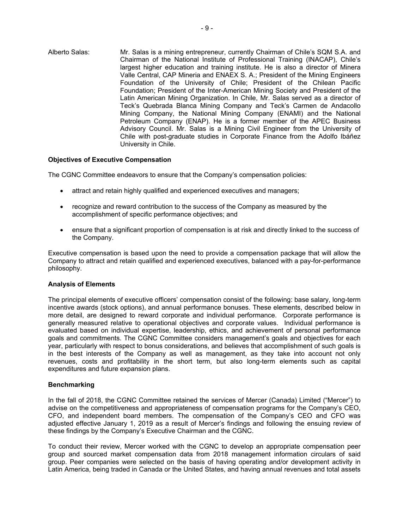Alberto Salas: Mr. Salas is a mining entrepreneur, currently Chairman of Chile's SQM S.A. and Chairman of the National Institute of Professional Training (INACAP), Chile's largest higher education and training institute. He is also a director of Minera Valle Central, CAP Mineria and ENAEX S. A.; President of the Mining Engineers Foundation of the University of Chile; President of the Chilean Pacific Foundation; President of the Inter-American Mining Society and President of the Latin American Mining Organization. In Chile, Mr. Salas served as a director of Teck's Quebrada Blanca Mining Company and Teck's Carmen de Andacollo Mining Company, the National Mining Company (ENAMI) and the National Petroleum Company (ENAP). He is a former member of the APEC Business Advisory Council. Mr. Salas is a Mining Civil Engineer from the University of Chile with post-graduate studies in Corporate Finance from the Adolfo Ibáñez University in Chile.

## **Objectives of Executive Compensation**

The CGNC Committee endeavors to ensure that the Company's compensation policies:

- attract and retain highly qualified and experienced executives and managers;
- recognize and reward contribution to the success of the Company as measured by the accomplishment of specific performance objectives; and
- ensure that a significant proportion of compensation is at risk and directly linked to the success of the Company.

Executive compensation is based upon the need to provide a compensation package that will allow the Company to attract and retain qualified and experienced executives, balanced with a pay-for-performance philosophy.

## **Analysis of Elements**

The principal elements of executive officers' compensation consist of the following: base salary, long-term incentive awards (stock options), and annual performance bonuses. These elements, described below in more detail, are designed to reward corporate and individual performance. Corporate performance is generally measured relative to operational objectives and corporate values. Individual performance is evaluated based on individual expertise, leadership, ethics, and achievement of personal performance goals and commitments. The CGNC Committee considers management's goals and objectives for each year, particularly with respect to bonus considerations, and believes that accomplishment of such goals is in the best interests of the Company as well as management, as they take into account not only revenues, costs and profitability in the short term, but also long-term elements such as capital expenditures and future expansion plans.

#### **Benchmarking**

In the fall of 2018, the CGNC Committee retained the services of Mercer (Canada) Limited ("Mercer") to advise on the competitiveness and appropriateness of compensation programs for the Company's CEO, CFO, and independent board members. The compensation of the Company's CEO and CFO was adjusted effective January 1, 2019 as a result of Mercer's findings and following the ensuing review of these findings by the Company's Executive Chairman and the CGNC.

To conduct their review, Mercer worked with the CGNC to develop an appropriate compensation peer group and sourced market compensation data from 2018 management information circulars of said group. Peer companies were selected on the basis of having operating and/or development activity in Latin America, being traded in Canada or the United States, and having annual revenues and total assets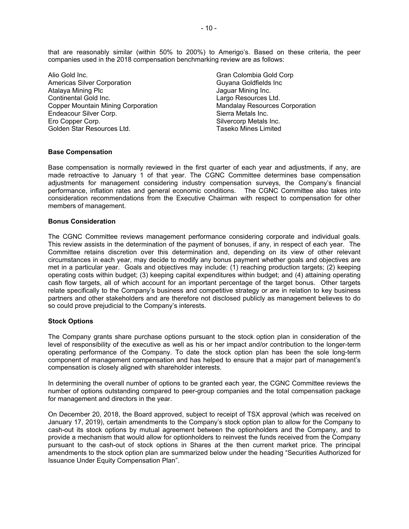that are reasonably similar (within 50% to 200%) to Amerigo's. Based on these criteria, the peer companies used in the 2018 compensation benchmarking review are as follows:

Alio Gold Inc. Americas Silver Corporation Atalaya Mining Plc Continental Gold Inc. Copper Mountain Mining Corporation Endeacour Silver Corp. Ero Copper Corp. Golden Star Resources Ltd.

Gran Colombia Gold Corp Guyana Goldfields Inc Jaguar Mining Inc. Largo Resources Ltd. Mandalay Resources Corporation Sierra Metals Inc. Silvercorp Metals Inc. Taseko Mines Limited

#### **Base Compensation**

Base compensation is normally reviewed in the first quarter of each year and adjustments, if any, are made retroactive to January 1 of that year. The CGNC Committee determines base compensation adjustments for management considering industry compensation surveys, the Company's financial performance, inflation rates and general economic conditions. The CGNC Committee also takes into consideration recommendations from the Executive Chairman with respect to compensation for other members of management.

## **Bonus Consideration**

The CGNC Committee reviews management performance considering corporate and individual goals. This review assists in the determination of the payment of bonuses, if any, in respect of each year. The Committee retains discretion over this determination and, depending on its view of other relevant circumstances in each year, may decide to modify any bonus payment whether goals and objectives are met in a particular year. Goals and objectives may include: (1) reaching production targets; (2) keeping operating costs within budget; (3) keeping capital expenditures within budget; and (4) attaining operating cash flow targets, all of which account for an important percentage of the target bonus. Other targets relate specifically to the Company's business and competitive strategy or are in relation to key business partners and other stakeholders and are therefore not disclosed publicly as management believes to do so could prove prejudicial to the Company's interests.

## **Stock Options**

The Company grants share purchase options pursuant to the stock option plan in consideration of the level of responsibility of the executive as well as his or her impact and/or contribution to the longer-term operating performance of the Company. To date the stock option plan has been the sole long-term component of management compensation and has helped to ensure that a major part of management's compensation is closely aligned with shareholder interests.

In determining the overall number of options to be granted each year, the CGNC Committee reviews the number of options outstanding compared to peer-group companies and the total compensation package for management and directors in the year.

On December 20, 2018, the Board approved, subject to receipt of TSX approval (which was received on January 17, 2019), certain amendments to the Company's stock option plan to allow for the Company to cash-out its stock options by mutual agreement between the optionholders and the Company, and to provide a mechanism that would allow for optionholders to reinvest the funds received from the Company pursuant to the cash-out of stock options in Shares at the then current market price. The principal amendments to the stock option plan are summarized below under the heading "Securities Authorized for Issuance Under Equity Compensation Plan".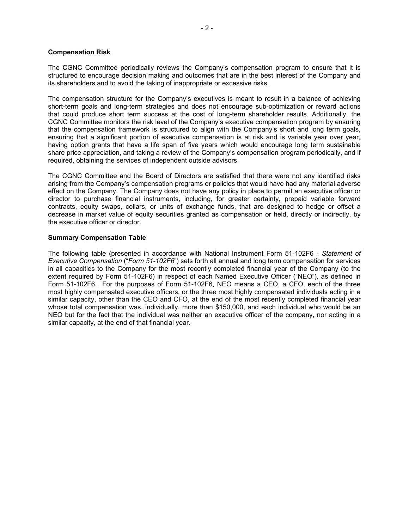#### **Compensation Risk**

The CGNC Committee periodically reviews the Company's compensation program to ensure that it is structured to encourage decision making and outcomes that are in the best interest of the Company and its shareholders and to avoid the taking of inappropriate or excessive risks.

The compensation structure for the Company's executives is meant to result in a balance of achieving short-term goals and long-term strategies and does not encourage sub-optimization or reward actions that could produce short term success at the cost of long-term shareholder results. Additionally, the CGNC Committee monitors the risk level of the Company's executive compensation program by ensuring that the compensation framework is structured to align with the Company's short and long term goals, ensuring that a significant portion of executive compensation is at risk and is variable year over year, having option grants that have a life span of five years which would encourage long term sustainable share price appreciation, and taking a review of the Company's compensation program periodically, and if required, obtaining the services of independent outside advisors.

The CGNC Committee and the Board of Directors are satisfied that there were not any identified risks arising from the Company's compensation programs or policies that would have had any material adverse effect on the Company. The Company does not have any policy in place to permit an executive officer or director to purchase financial instruments, including, for greater certainty, prepaid variable forward contracts, equity swaps, collars, or units of exchange funds, that are designed to hedge or offset a decrease in market value of equity securities granted as compensation or held, directly or indirectly, by the executive officer or director.

## **Summary Compensation Table**

The following table (presented in accordance with National Instrument Form 51-102F6 - *Statement of Executive Compensation* ("*Form 51-102F6*") sets forth all annual and long term compensation for services in all capacities to the Company for the most recently completed financial year of the Company (to the extent required by Form 51-102F6) in respect of each Named Executive Officer ("NEO"), as defined in Form 51-102F6. For the purposes of Form 51-102F6, NEO means a CEO, a CFO, each of the three most highly compensated executive officers, or the three most highly compensated individuals acting in a similar capacity, other than the CEO and CFO, at the end of the most recently completed financial year whose total compensation was, individually, more than \$150,000, and each individual who would be an NEO but for the fact that the individual was neither an executive officer of the company, nor acting in a similar capacity, at the end of that financial year.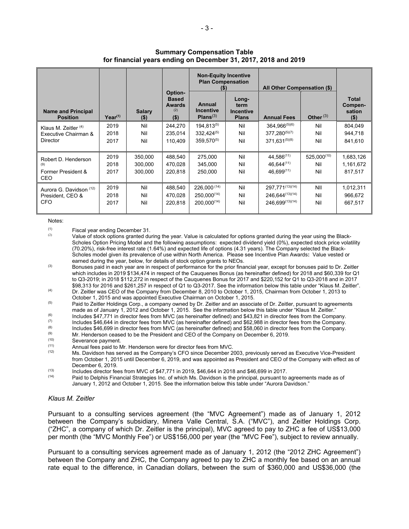|                                                                   |                      |                               |                                                           | <b>Non-Equity Incentive</b><br><b>Plan Compensation</b><br>$($ \$) |                                                   | All Other Compensation (\$)                                    |                                |                                       |
|-------------------------------------------------------------------|----------------------|-------------------------------|-----------------------------------------------------------|--------------------------------------------------------------------|---------------------------------------------------|----------------------------------------------------------------|--------------------------------|---------------------------------------|
| <b>Name and Principal</b><br><b>Position</b>                      | $Year^{(1)}$         | <b>Salary</b><br>$($ \$)      | Option-<br><b>Based</b><br><b>Awards</b><br>(2)<br>$(\$)$ | Annual<br><b>Incentive</b><br>Plans <sup>(3)</sup>                 | Long-<br>term<br><b>Incentive</b><br><b>Plans</b> | <b>Annual Fees</b>                                             | Other $(3)$                    | Total<br>Compen-<br>sation<br>$($ \$) |
| Klaus M. Zeitler $(4)$<br>Executive Chairman &<br><b>Director</b> | 2019<br>2018<br>2017 | Nil<br>Nil<br>Nil             | 244.270<br>235,014<br>110,409                             | $194.813^{(5)}$<br>$332,424^{(5)}$<br>$359.570^{(5)}$              | Nil<br>Nil<br>Nil                                 | $364.966^{(5)(6)}$<br>$377.280^{(5)(7)}$<br>$371.631^{(5)(8)}$ | Nil<br>Nil<br>Nil              | 804,049<br>944,718<br>841,610         |
| Robert D. Henderson<br>(9)<br>Former President &<br>CEO           | 2019<br>2018<br>2017 | 350,000<br>300,000<br>300.000 | 488,540<br>470,028<br>220,818                             | 275,000<br>345,000<br>250,000                                      | Nil<br>Nil<br>Nil                                 | 44.586(11)<br>$46.644^{(11)}$<br>46.699(11)                    | $525,000^{(10)}$<br>Nil<br>Nil | 1,683,126<br>1,161,672<br>817.517     |
| Aurora G. Davidson (12)<br>President, CEO &<br>CFO                | 2019<br>2018<br>2017 | Nil<br>Nil<br>Nil             | 488.540<br>470.028<br>220.818                             | $226,000^{(14)}$<br>$250,000^{(14)}$<br>$200.000^{(14)}$           | Nil<br>Nil<br>Nil                                 | 297,771(13)(14)<br>246.644(13)(14)<br>246.699(13)(14)          | NII<br>Nil<br>Nil              | 1,012,311<br>966,672<br>667,517       |

## **Summary Compensation Table for financial years ending on December 31, 2017, 2018 and 2019**

Notes:

 $(1)$  Fiscal year ending December 31.

Value of stock options granted during the year. Value is calculated for options granted during the year using the Black-Scholes Option Pricing Model and the following assumptions: expected dividend yield (0%), expected stock price volatility (70.20%), risk-free interest rate (1.64%) and expected life of options (4.31 years). The Company selected the Black-Scholes model given its prevalence of use within North America. Please see Incentive Plan Awards**:** Value vested or earned during the year, below, for details of stock option grants to NEOs.

(3) Bonuses paid in each year are in respect of performance for the prior financial year, except for bonuses paid to Dr. Zeitler which includes in 2019 \$134,474 in respect of the Cauquenes Bonus (as hereinafter defined) for 2018 and \$60,339 for Q1 to Q3-2019; in 2018 \$112,272 in respect of the Cauquenes Bonus for 2017 and \$220,152 for Q1 to Q3-2018 and in 2017 \$98,313 for 2016 and \$261,257 in respect of Q1 to Q3-2017. See the information below this table under "Klaus M. Zeitler".

(4) Dr. Zeitler was CEO of the Company from December 8, 2010 to October 1, 2015, Chairman from October 1, 2013 to October 1, 2015 and was appointed Executive Chairman on October 1, 2015.

<sup>(5)</sup> Paid to Zeitler Holdings Corp., a company owned by Dr. Zeitler and an associate of Dr. Zeitler, pursuant to agreements made as of January 1, 2012 and October 1, 2015. See the information below this table under "Klaus M. Zeitler."

(6) Includes \$47,771 in director fees from MVC (as hereinafter defined) and \$43,821 in director fees from the Company.

- (7) Includes \$46,644 in director fees from MVC (as hereinafter defined) and \$62,988 in director fees from the Company.<br>(8) Includes \$46,699 in director fees from MVC (as hereinafter defined) and \$58,060 in director fees f
- (8) Includes \$46,699 in director fees from MVC (as hereinafter defined) and \$58,060 in director fees from the Company.<br>(9) ML Henderson second to be the President and CEO of the Company on December 6, 2010.
- (9) Mr. Henderson ceased to be the President and CEO of the Company on December 6, 2019.
- $(10)$  Severance payment.<br> $(11)$  Appual foos paid to  $\Lambda$

 $(11)$  Annual fees paid to Mr. Henderson were for director fees from MVC.<br> $(12)$  Ms. Dovidson has served as the Company's CEO since December 2.

Ms. Davidson has served as the Company's CFO since December 2003, previously served as Executive Vice-President from October 1, 2015 until December 6, 2019, and was appointed as President and CEO of the Company with effect as of December 6, 2019.

 $\frac{(13)}{(14)}$  Includes director fees from MVC of \$47,771 in 2019, \$46,644 in 2018 and \$46,699 in 2017.

Paid to Delphis Financial Strategies Inc. of which Ms. Davidson is the principal, pursuant to agreements made as of January 1, 2012 and October 1, 2015. See the information below this table under "Aurora Davidson."

## *Klaus M. Zeitler*

Pursuant to a consulting services agreement (the "MVC Agreement") made as of January 1, 2012 between the Company's subsidiary, Minera Valle Central, S.A. ("MVC"), and Zeitler Holdings Corp. ("ZHC", a company of which Dr. Zeitler is the principal), MVC agreed to pay to ZHC a fee of US\$13,000 per month (the "MVC Monthly Fee") or US\$156,000 per year (the "MVC Fee"), subject to review annually.

Pursuant to a consulting services agreement made as of January 1, 2012 (the "2012 ZHC Agreement") between the Company and ZHC, the Company agreed to pay to ZHC a monthly fee based on an annual rate equal to the difference, in Canadian dollars, between the sum of \$360,000 and US\$36,000 (the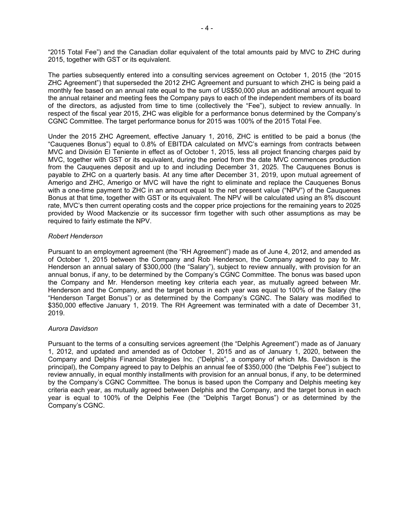"2015 Total Fee") and the Canadian dollar equivalent of the total amounts paid by MVC to ZHC during 2015, together with GST or its equivalent.

The parties subsequently entered into a consulting services agreement on October 1, 2015 (the "2015 ZHC Agreement") that superseded the 2012 ZHC Agreement and pursuant to which ZHC is being paid a monthly fee based on an annual rate equal to the sum of US\$50,000 plus an additional amount equal to the annual retainer and meeting fees the Company pays to each of the independent members of its board of the directors, as adjusted from time to time (collectively the "Fee"), subject to review annually. In respect of the fiscal year 2015, ZHC was eligible for a performance bonus determined by the Company's CGNC Committee. The target performance bonus for 2015 was 100% of the 2015 Total Fee.

Under the 2015 ZHC Agreement, effective January 1, 2016, ZHC is entitled to be paid a bonus (the "Cauquenes Bonus") equal to 0.8% of EBITDA calculated on MVC's earnings from contracts between MVC and División El Teniente in effect as of October 1, 2015, less all project financing charges paid by MVC, together with GST or its equivalent, during the period from the date MVC commences production from the Cauquenes deposit and up to and including December 31, 2025. The Cauquenes Bonus is payable to ZHC on a quarterly basis. At any time after December 31, 2019, upon mutual agreement of Amerigo and ZHC, Amerigo or MVC will have the right to eliminate and replace the Cauquenes Bonus with a one-time payment to ZHC in an amount equal to the net present value ("NPV") of the Cauquenes Bonus at that time, together with GST or its equivalent. The NPV will be calculated using an 8% discount rate, MVC's then current operating costs and the copper price projections for the remaining years to 2025 provided by Wood Mackenzie or its successor firm together with such other assumptions as may be required to fairly estimate the NPV.

#### *Robert Henderson*

Pursuant to an employment agreement (the "RH Agreement") made as of June 4, 2012, and amended as of October 1, 2015 between the Company and Rob Henderson, the Company agreed to pay to Mr. Henderson an annual salary of \$300,000 (the "Salary"), subject to review annually, with provision for an annual bonus, if any, to be determined by the Company's CGNC Committee. The bonus was based upon the Company and Mr. Henderson meeting key criteria each year, as mutually agreed between Mr. Henderson and the Company, and the target bonus in each year was equal to 100% of the Salary (the "Henderson Target Bonus") or as determined by the Company's CGNC. The Salary was modified to \$350,000 effective January 1, 2019. The RH Agreement was terminated with a date of December 31, 2019.

## *Aurora Davidson*

Pursuant to the terms of a consulting services agreement (the "Delphis Agreement") made as of January 1, 2012, and updated and amended as of October 1, 2015 and as of January 1, 2020, between the Company and Delphis Financial Strategies Inc. ("Delphis", a company of which Ms. Davidson is the principal), the Company agreed to pay to Delphis an annual fee of \$350,000 (the "Delphis Fee") subject to review annually, in equal monthly installments with provision for an annual bonus, if any, to be determined by the Company's CGNC Committee. The bonus is based upon the Company and Delphis meeting key criteria each year, as mutually agreed between Delphis and the Company, and the target bonus in each year is equal to 100% of the Delphis Fee (the "Delphis Target Bonus") or as determined by the Company's CGNC.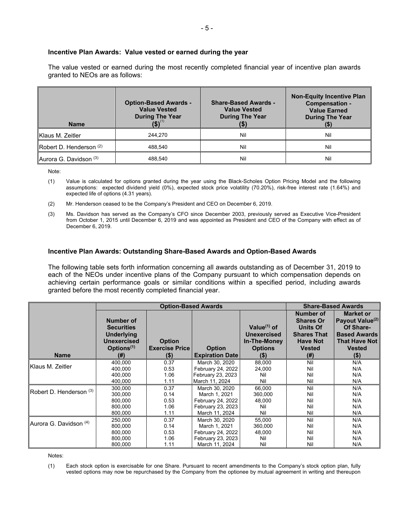#### **Incentive Plan Awards: Value vested or earned during the year**

The value vested or earned during the most recently completed financial year of incentive plan awards granted to NEOs are as follows:

| <b>Name</b>                        | <b>Option-Based Awards -</b><br><b>Value Vested</b><br><b>During The Year</b> | <b>Share-Based Awards -</b><br><b>Value Vested</b><br><b>During The Year</b> | <b>Non-Equity Incentive Plan</b><br><b>Compensation -</b><br><b>Value Earned</b><br><b>During The Year</b> |
|------------------------------------|-------------------------------------------------------------------------------|------------------------------------------------------------------------------|------------------------------------------------------------------------------------------------------------|
| Klaus M. Zeitler                   | 244.270                                                                       | Nil                                                                          | Nil                                                                                                        |
| Robert D. Henderson (2)            | 488.540                                                                       | Nil                                                                          | Nil                                                                                                        |
| ∎Aurora G. Davidson <sup>(3)</sup> | 488.540                                                                       | Nil                                                                          | Nil                                                                                                        |

Note:

- (1) Value is calculated for options granted during the year using the Black-Scholes Option Pricing Model and the following assumptions: expected dividend yield (0%), expected stock price volatility (70.20%), risk-free interest rate (1.64%) and expected life of options (4.31 years).
- (2) Mr. Henderson ceased to be the Company's President and CEO on December 6, 2019.
- (3) Ms. Davidson has served as the Company's CFO since December 2003, previously served as Executive Vice-President from October 1, 2015 until December 6, 2019 and was appointed as President and CEO of the Company with effect as of December 6, 2019.

#### **Incentive Plan Awards: Outstanding Share-Based Awards and Option-Based Awards**

The following table sets forth information concerning all awards outstanding as of December 31, 2019 to each of the NEOs under incentive plans of the Company pursuant to which compensation depends on achieving certain performance goals or similar conditions within a specified period, including awards granted before the most recently completed financial year.

|                         |                                                                                                     | <b>Option-Based Awards</b>             | <b>Share-Based Awards</b>           |                                                                        |                                                                                                            |                                                                                                                              |
|-------------------------|-----------------------------------------------------------------------------------------------------|----------------------------------------|-------------------------------------|------------------------------------------------------------------------|------------------------------------------------------------------------------------------------------------|------------------------------------------------------------------------------------------------------------------------------|
|                         | Number of<br><b>Securities</b><br><b>Underlying</b><br><b>Unexercised</b><br>Options <sup>(1)</sup> | <b>Option</b><br><b>Exercise Price</b> | <b>Option</b>                       | Value $(1)$ of<br><b>Unexercised</b><br>In-The-Money<br><b>Options</b> | Number of<br><b>Shares Or</b><br><b>Units Of</b><br><b>Shares That</b><br><b>Have Not</b><br><b>Vested</b> | <b>Market or</b><br>Payout Value <sup>(2)</sup><br>Of Share-<br><b>Based Awards</b><br><b>That Have Not</b><br><b>Vested</b> |
| <b>Name</b>             | (#)                                                                                                 | $(\$)$                                 | <b>Expiration Date</b>              | $($ \$)                                                                | (#)                                                                                                        | $($ \$)                                                                                                                      |
| Klaus M. Zeitler        | 400,000<br>400,000                                                                                  | 0.37<br>0.53                           | March 30, 2020<br>February 24, 2022 | 88,000<br>24,000                                                       | Nil<br>Nil                                                                                                 | N/A<br>N/A                                                                                                                   |
|                         | 400.000<br>400,000                                                                                  | 1.06<br>1.11                           | February 23, 2023<br>March 11, 2024 | Nil<br>Nil                                                             | Nil<br>Nil                                                                                                 | N/A<br>N/A                                                                                                                   |
| Robert D. Henderson (3) | 300,000                                                                                             | 0.37                                   | March 30, 2020                      | 66,000                                                                 | Nil                                                                                                        | N/A                                                                                                                          |
|                         | 300,000<br>800,000                                                                                  | 0.14<br>0.53                           | March 1, 2021<br>February 24, 2022  | 360,000<br>48,000                                                      | Nil<br>Nil                                                                                                 | N/A<br>N/A                                                                                                                   |
|                         | 800,000                                                                                             | 1.06                                   | February 23, 2023                   | Nil                                                                    | Nil                                                                                                        | N/A                                                                                                                          |
|                         | 800,000                                                                                             | 1.11                                   | March 11, 2024                      | Nil                                                                    | Nil                                                                                                        | N/A                                                                                                                          |
| Aurora G. Davidson (4)  | 250,000                                                                                             | 0.37                                   | March 30, 2020                      | 55,000                                                                 | Nil                                                                                                        | N/A                                                                                                                          |
|                         | 800.000                                                                                             | 0.14                                   | March 1, 2021                       | 360,000                                                                | Nil                                                                                                        | N/A                                                                                                                          |
|                         | 800.000                                                                                             | 0.53                                   | February 24, 2022                   | 48.000                                                                 | Nil                                                                                                        | N/A                                                                                                                          |
|                         | 800,000                                                                                             | 1.06                                   | February 23, 2023                   | Nil                                                                    | Nil                                                                                                        | N/A                                                                                                                          |
|                         | 800,000                                                                                             | 1.11                                   | March 11, 2024                      | Nil                                                                    | Nil                                                                                                        | N/A                                                                                                                          |

Notes:

(1) Each stock option is exercisable for one Share. Pursuant to recent amendments to the Company's stock option plan, fully vested options may now be repurchased by the Company from the optionee by mutual agreement in writing and thereupon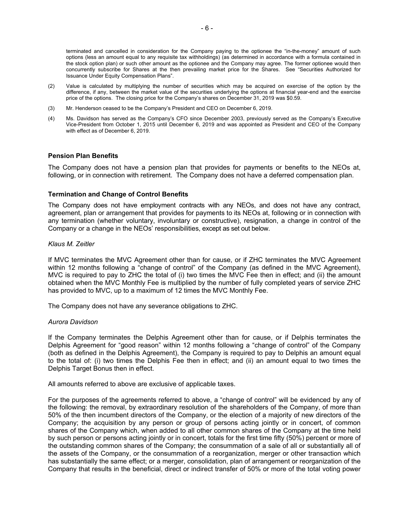- (2) Value is calculated by multiplying the number of securities which may be acquired on exercise of the option by the difference, if any, between the market value of the securities underlying the options at financial year-end and the exercise price of the options. The closing price for the Company's shares on December 31, 2019 was \$0.59.
- (3) Mr. Henderson ceased to be the Company's President and CEO on December 6, 2019.
- (4) Ms. Davidson has served as the Company's CFO since December 2003, previously served as the Company's Executive Vice-President from October 1, 2015 until December 6, 2019 and was appointed as President and CEO of the Company with effect as of December 6, 2019.

## **Pension Plan Benefits**

The Company does not have a pension plan that provides for payments or benefits to the NEOs at, following, or in connection with retirement. The Company does not have a deferred compensation plan.

## **Termination and Change of Control Benefits**

The Company does not have employment contracts with any NEOs, and does not have any contract, agreement, plan or arrangement that provides for payments to its NEOs at, following or in connection with any termination (whether voluntary, involuntary or constructive), resignation, a change in control of the Company or a change in the NEOs' responsibilities, except as set out below.

## *Klaus M. Zeitler*

If MVC terminates the MVC Agreement other than for cause, or if ZHC terminates the MVC Agreement within 12 months following a "change of control" of the Company (as defined in the MVC Agreement), MVC is required to pay to ZHC the total of (i) two times the MVC Fee then in effect; and (ii) the amount obtained when the MVC Monthly Fee is multiplied by the number of fully completed years of service ZHC has provided to MVC, up to a maximum of 12 times the MVC Monthly Fee.

The Company does not have any severance obligations to ZHC.

## *Aurora Davidson*

If the Company terminates the Delphis Agreement other than for cause, or if Delphis terminates the Delphis Agreement for "good reason" within 12 months following a "change of control" of the Company (both as defined in the Delphis Agreement), the Company is required to pay to Delphis an amount equal to the total of: (i) two times the Delphis Fee then in effect; and (ii) an amount equal to two times the Delphis Target Bonus then in effect.

All amounts referred to above are exclusive of applicable taxes.

For the purposes of the agreements referred to above, a "change of control" will be evidenced by any of the following: the removal, by extraordinary resolution of the shareholders of the Company, of more than 50% of the then incumbent directors of the Company, or the election of a majority of new directors of the Company; the acquisition by any person or group of persons acting jointly or in concert, of common shares of the Company which, when added to all other common shares of the Company at the time held by such person or persons acting jointly or in concert, totals for the first time fifty (50%) percent or more of the outstanding common shares of the Company; the consummation of a sale of all or substantially all of the assets of the Company, or the consummation of a reorganization, merger or other transaction which has substantially the same effect; or a merger, consolidation, plan of arrangement or reorganization of the Company that results in the beneficial, direct or indirect transfer of 50% or more of the total voting power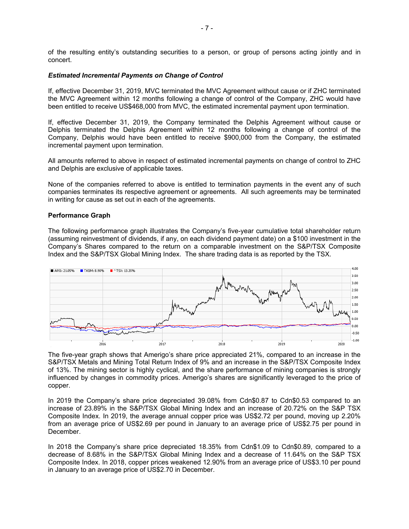of the resulting entity's outstanding securities to a person, or group of persons acting jointly and in concert.

#### *Estimated Incremental Payments on Change of Control*

If, effective December 31, 2019, MVC terminated the MVC Agreement without cause or if ZHC terminated the MVC Agreement within 12 months following a change of control of the Company, ZHC would have been entitled to receive US\$468,000 from MVC, the estimated incremental payment upon termination.

If, effective December 31, 2019, the Company terminated the Delphis Agreement without cause or Delphis terminated the Delphis Agreement within 12 months following a change of control of the Company, Delphis would have been entitled to receive \$900,000 from the Company, the estimated incremental payment upon termination.

All amounts referred to above in respect of estimated incremental payments on change of control to ZHC and Delphis are exclusive of applicable taxes.

None of the companies referred to above is entitled to termination payments in the event any of such companies terminates its respective agreement or agreements. All such agreements may be terminated in writing for cause as set out in each of the agreements.

#### **Performance Graph**

The following performance graph illustrates the Company's five-year cumulative total shareholder return (assuming reinvestment of dividends, if any, on each dividend payment date) on a \$100 investment in the Company's Shares compared to the return on a comparable investment on the S&P/TSX Composite Index and the S&P/TSX Global Mining Index. The share trading data is as reported by the TSX.



The five-year graph shows that Amerigo's share price appreciated 21%, compared to an increase in the S&P/TSX Metals and Mining Total Return Index of 9% and an increase in the S&P/TSX Composite Index of 13%. The mining sector is highly cyclical, and the share performance of mining companies is strongly influenced by changes in commodity prices. Amerigo's shares are significantly leveraged to the price of copper.

In 2019 the Company's share price depreciated 39.08% from Cdn\$0.87 to Cdn\$0.53 compared to an increase of 23.89% in the S&P/TSX Global Mining Index and an increase of 20.72% on the S&P TSX Composite Index. In 2019, the average annual copper price was US\$2.72 per pound, moving up 2.20% from an average price of US\$2.69 per pound in January to an average price of US\$2.75 per pound in December.

In 2018 the Company's share price depreciated 18.35% from Cdn\$1.09 to Cdn\$0.89, compared to a decrease of 8.68% in the S&P/TSX Global Mining Index and a decrease of 11.64% on the S&P TSX Composite Index. In 2018, copper prices weakened 12.90% from an average price of US\$3.10 per pound in January to an average price of US\$2.70 in December.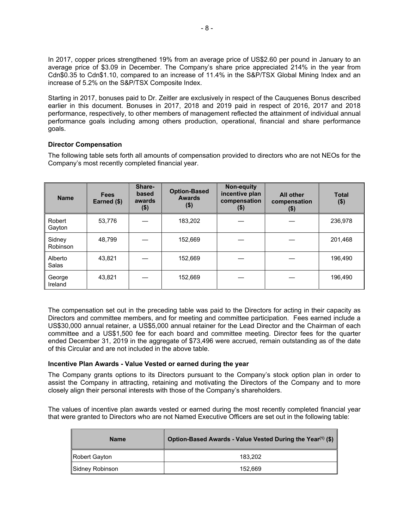In 2017, copper prices strengthened 19% from an average price of US\$2.60 per pound in January to an average price of \$3.09 in December. The Company's share price appreciated 214% in the year from Cdn\$0.35 to Cdn\$1.10, compared to an increase of 11.4% in the S&P/TSX Global Mining Index and an increase of 5.2% on the S&P/TSX Composite Index.

Starting in 2017, bonuses paid to Dr. Zeitler are exclusively in respect of the Cauquenes Bonus described earlier in this document. Bonuses in 2017, 2018 and 2019 paid in respect of 2016, 2017 and 2018 performance, respectively, to other members of management reflected the attainment of individual annual performance goals including among others production, operational, financial and share performance goals.

## **Director Compensation**

The following table sets forth all amounts of compensation provided to directors who are not NEOs for the Company's most recently completed financial year.

| <b>Name</b>        | <b>Fees</b><br>Earned (\$) | Share-<br>based<br>awards<br>$($ \$) | <b>Option-Based</b><br><b>Awards</b><br>$($ \$) | Non-equity<br>incentive plan<br>compensation<br>$($ \$) | <b>All other</b><br>compensation<br>$($ \$) | <b>Total</b><br>$($ \$) |
|--------------------|----------------------------|--------------------------------------|-------------------------------------------------|---------------------------------------------------------|---------------------------------------------|-------------------------|
| Robert<br>Gayton   | 53,776                     |                                      | 183,202                                         |                                                         |                                             | 236,978                 |
| Sidney<br>Robinson | 48.799                     |                                      | 152.669                                         |                                                         |                                             | 201,468                 |
| Alberto<br>Salas   | 43,821                     |                                      | 152,669                                         |                                                         |                                             | 196,490                 |
| George<br>Ireland  | 43,821                     |                                      | 152,669                                         |                                                         |                                             | 196,490                 |

The compensation set out in the preceding table was paid to the Directors for acting in their capacity as Directors and committee members, and for meeting and committee participation. Fees earned include a US\$30,000 annual retainer, a US\$5,000 annual retainer for the Lead Director and the Chairman of each committee and a US\$1,500 fee for each board and committee meeting. Director fees for the quarter ended December 31, 2019 in the aggregate of \$73,496 were accrued, remain outstanding as of the date of this Circular and are not included in the above table.

## **Incentive Plan Awards - Value Vested or earned during the year**

The Company grants options to its Directors pursuant to the Company's stock option plan in order to assist the Company in attracting, retaining and motivating the Directors of the Company and to more closely align their personal interests with those of the Company's shareholders.

The values of incentive plan awards vested or earned during the most recently completed financial year that were granted to Directors who are not Named Executive Officers are set out in the following table:

| <b>Name</b>     | Option-Based Awards - Value Vested During the Year <sup>(1)</sup> (\$) |
|-----------------|------------------------------------------------------------------------|
| Robert Gayton   | 183.202                                                                |
| Sidney Robinson | 152.669                                                                |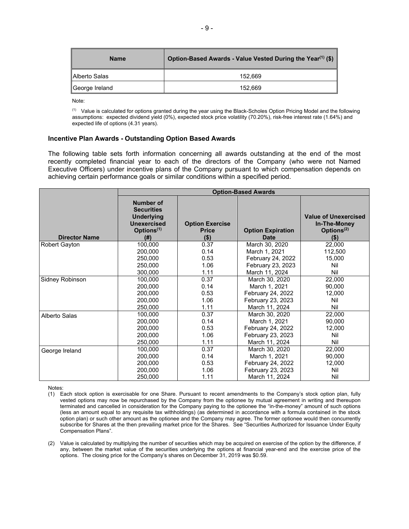| <b>Name</b>             | Option-Based Awards - Value Vested During the Year <sup>(1)</sup> (\$) |
|-------------------------|------------------------------------------------------------------------|
| <b>I</b> IAlberto Salas | 152.669                                                                |
| ∥George Ireland         | 152.669                                                                |

Note:

(1) Value is calculated for options granted during the year using the Black-Scholes Option Pricing Model and the following assumptions: expected dividend yield (0%), expected stock price volatility (70.20%), risk-free interest rate (1.64%) and expected life of options (4.31 years).

#### **Incentive Plan Awards - Outstanding Option Based Awards**

The following table sets forth information concerning all awards outstanding at the end of the most recently completed financial year to each of the directors of the Company (who were not Named Executive Officers) under incentive plans of the Company pursuant to which compensation depends on achieving certain performance goals or similar conditions within a specified period.

|                      | <b>Option-Based Awards</b>                                                                                         |                                                   |                                         |                                                                         |  |
|----------------------|--------------------------------------------------------------------------------------------------------------------|---------------------------------------------------|-----------------------------------------|-------------------------------------------------------------------------|--|
| <b>Director Name</b> | <b>Number of</b><br><b>Securities</b><br><b>Underlying</b><br><b>Unexercised</b><br>Options <sup>(1)</sup><br>(# ) | <b>Option Exercise</b><br><b>Price</b><br>$($ \$) | <b>Option Expiration</b><br><b>Date</b> | <b>Value of Unexercised</b><br>In-The-Money<br>Options $(2)$<br>$($ \$) |  |
| <b>Robert Gayton</b> | 100,000                                                                                                            | 0.37                                              | March 30, 2020                          | 22,000                                                                  |  |
|                      | 200,000                                                                                                            | 0.14                                              | March 1, 2021                           | 112,500                                                                 |  |
|                      | 250,000                                                                                                            | 0.53                                              | February 24, 2022                       | 15,000                                                                  |  |
|                      | 250,000                                                                                                            | 1.06                                              | February 23, 2023                       | Nil                                                                     |  |
|                      | 300,000                                                                                                            | 1.11                                              | March 11, 2024                          | Nil                                                                     |  |
| Sidney Robinson      | 100,000                                                                                                            | 0.37                                              | March 30, 2020                          | 22,000                                                                  |  |
|                      | 200,000                                                                                                            | 0.14                                              | March 1, 2021                           | 90,000                                                                  |  |
|                      | 200,000                                                                                                            | 0.53                                              | February 24, 2022                       | 12,000                                                                  |  |
|                      | 200,000                                                                                                            | 1.06                                              | February 23, 2023                       | Nil                                                                     |  |
|                      | 250,000                                                                                                            | 1.11                                              | March 11, 2024                          | Nil                                                                     |  |
| Alberto Salas        | 100,000                                                                                                            | 0.37                                              | March 30, 2020                          | 22,000                                                                  |  |
|                      | 200,000                                                                                                            | 0.14                                              | March 1, 2021                           | 90,000                                                                  |  |
|                      | 200,000                                                                                                            | 0.53                                              | February 24, 2022                       | 12,000                                                                  |  |
|                      | 200,000                                                                                                            | 1.06                                              | February 23, 2023                       | Nil                                                                     |  |
|                      | 250,000                                                                                                            | 1.11                                              | March 11, 2024                          | Nil                                                                     |  |
| George Ireland       | 100,000                                                                                                            | 0.37                                              | March 30, 2020                          | 22,000                                                                  |  |
|                      | 200,000                                                                                                            | 0.14                                              | March 1, 2021                           | 90,000                                                                  |  |
|                      | 200,000                                                                                                            | 0.53                                              | February 24, 2022                       | 12,000                                                                  |  |
|                      | 200,000                                                                                                            | 1.06                                              | February 23, 2023                       | Nil                                                                     |  |
|                      | 250,000                                                                                                            | 1.11                                              | March 11, 2024                          | Nil                                                                     |  |

Notes:

(1) Each stock option is exercisable for one Share. Pursuant to recent amendments to the Company's stock option plan, fully vested options may now be repurchased by the Company from the optionee by mutual agreement in writing and thereupon terminated and cancelled in consideration for the Company paying to the optionee the "in-the-money" amount of such options (less an amount equal to any requisite tax withholdings) (as determined in accordance with a formula contained in the stock option plan) or such other amount as the optionee and the Company may agree. The former optionee would then concurrently subscribe for Shares at the then prevailing market price for the Shares. See "Securities Authorized for Issuance Under Equity Compensation Plans".

(2) Value is calculated by multiplying the number of securities which may be acquired on exercise of the option by the difference, if any, between the market value of the securities underlying the options at financial year-end and the exercise price of the options. The closing price for the Company's shares on December 31, 2019 was \$0.59.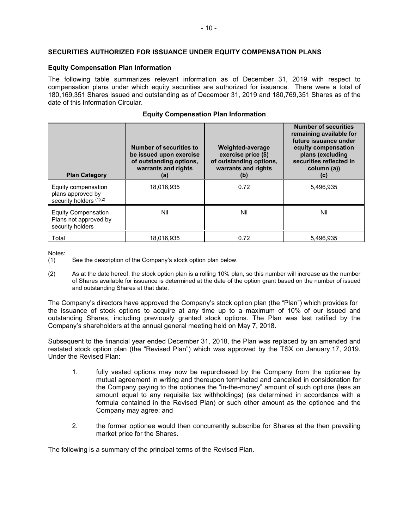## **SECURITIES AUTHORIZED FOR ISSUANCE UNDER EQUITY COMPENSATION PLANS**

## **Equity Compensation Plan Information**

The following table summarizes relevant information as of December 31, 2019 with respect to compensation plans under which equity securities are authorized for issuance. There were a total of 180,169,351 Shares issued and outstanding as of December 31, 2019 and 180,769,351 Shares as of the date of this Information Circular.

|                                                                         | <b>Number of securities to</b><br>be issued upon exercise<br>of outstanding options,<br>warrants and rights | Weighted-average<br>exercise price (\$)<br>of outstanding options,<br>warrants and rights | <b>Number of securities</b><br>remaining available for<br>future issuance under<br>equity compensation<br>plans (excluding<br>securities reflected in<br>column (a)) |
|-------------------------------------------------------------------------|-------------------------------------------------------------------------------------------------------------|-------------------------------------------------------------------------------------------|----------------------------------------------------------------------------------------------------------------------------------------------------------------------|
| <b>Plan Category</b>                                                    | (a)                                                                                                         | (b)                                                                                       | (C)                                                                                                                                                                  |
| Equity compensation<br>plans approved by<br>security holders $(1)(2)$   | 18.016.935                                                                                                  | 0.72                                                                                      | 5,496,935                                                                                                                                                            |
| <b>Equity Compensation</b><br>Plans not approved by<br>security holders | Nil                                                                                                         | Nil                                                                                       | Nil                                                                                                                                                                  |
| Total                                                                   | 18.016.935                                                                                                  | 0.72                                                                                      | 5,496,935                                                                                                                                                            |

## **Equity Compensation Plan Information**

Notes:

- (1) See the description of the Company's stock option plan below.
- (2) As at the date hereof, the stock option plan is a rolling 10% plan, so this number will increase as the number of Shares available for issuance is determined at the date of the option grant based on the number of issued and outstanding Shares at that date.

The Company's directors have approved the Company's stock option plan (the "Plan") which provides for the issuance of stock options to acquire at any time up to a maximum of 10% of our issued and outstanding Shares, including previously granted stock options. The Plan was last ratified by the Company's shareholders at the annual general meeting held on May 7, 2018.

Subsequent to the financial year ended December 31, 2018, the Plan was replaced by an amended and restated stock option plan (the "Revised Plan") which was approved by the TSX on January 17, 2019. Under the Revised Plan:

- 1. fully vested options may now be repurchased by the Company from the optionee by mutual agreement in writing and thereupon terminated and cancelled in consideration for the Company paying to the optionee the "in-the-money" amount of such options (less an amount equal to any requisite tax withholdings) (as determined in accordance with a formula contained in the Revised Plan) or such other amount as the optionee and the Company may agree; and
- 2. the former optionee would then concurrently subscribe for Shares at the then prevailing market price for the Shares.

The following is a summary of the principal terms of the Revised Plan.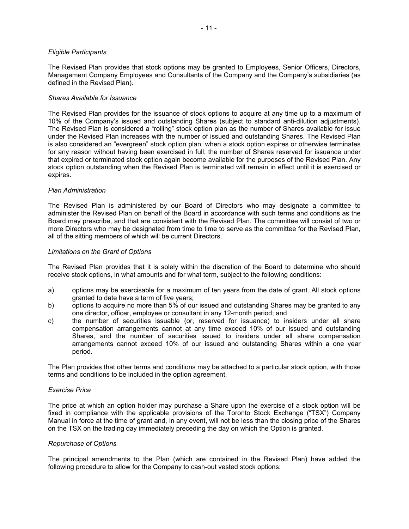#### *Eligible Participants*

The Revised Plan provides that stock options may be granted to Employees, Senior Officers, Directors, Management Company Employees and Consultants of the Company and the Company's subsidiaries (as defined in the Revised Plan).

#### *Shares Available for Issuance*

The Revised Plan provides for the issuance of stock options to acquire at any time up to a maximum of 10% of the Company's issued and outstanding Shares (subject to standard anti-dilution adjustments). The Revised Plan is considered a "rolling" stock option plan as the number of Shares available for issue under the Revised Plan increases with the number of issued and outstanding Shares. The Revised Plan is also considered an "evergreen" stock option plan: when a stock option expires or otherwise terminates for any reason without having been exercised in full, the number of Shares reserved for issuance under that expired or terminated stock option again become available for the purposes of the Revised Plan. Any stock option outstanding when the Revised Plan is terminated will remain in effect until it is exercised or expires.

#### *Plan Administration*

The Revised Plan is administered by our Board of Directors who may designate a committee to administer the Revised Plan on behalf of the Board in accordance with such terms and conditions as the Board may prescribe, and that are consistent with the Revised Plan. The committee will consist of two or more Directors who may be designated from time to time to serve as the committee for the Revised Plan, all of the sitting members of which will be current Directors.

#### *Limitations on the Grant of Options*

The Revised Plan provides that it is solely within the discretion of the Board to determine who should receive stock options, in what amounts and for what term, subject to the following conditions:

- a) options may be exercisable for a maximum of ten years from the date of grant. All stock options granted to date have a term of five years;
- b) options to acquire no more than 5% of our issued and outstanding Shares may be granted to any one director, officer, employee or consultant in any 12-month period; and
- c) the number of securities issuable (or, reserved for issuance) to insiders under all share compensation arrangements cannot at any time exceed 10% of our issued and outstanding Shares, and the number of securities issued to insiders under all share compensation arrangements cannot exceed 10% of our issued and outstanding Shares within a one year period.

The Plan provides that other terms and conditions may be attached to a particular stock option, with those terms and conditions to be included in the option agreement.

## *Exercise Price*

The price at which an option holder may purchase a Share upon the exercise of a stock option will be fixed in compliance with the applicable provisions of the Toronto Stock Exchange ("TSX") Company Manual in force at the time of grant and, in any event, will not be less than the closing price of the Shares on the TSX on the trading day immediately preceding the day on which the Option is granted.

#### *Repurchase of Options*

The principal amendments to the Plan (which are contained in the Revised Plan) have added the following procedure to allow for the Company to cash-out vested stock options: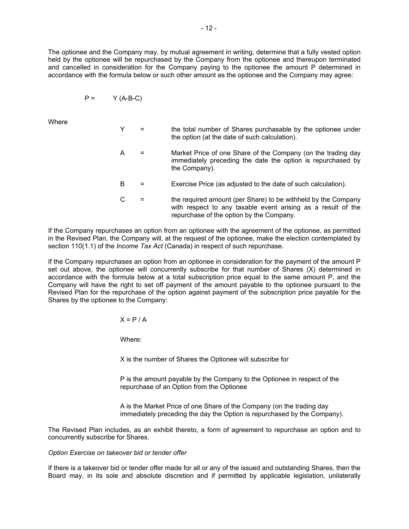The optionee and the Company may, by mutual agreement in writing, determine that a fully vested option held by the optionee will be repurchased by the Company from the optionee and thereupon terminated and cancelled in consideration for the Company paying to the optionee the amount P determined in accordance with the formula below or such other amount as the optionee and the Company may agree:

$$
P = \qquad \qquad Y (A-B-C)
$$

Where

|  | the total number of Shares purchasable by the optionee under<br>the option (at the date of such calculation).                                |
|--|----------------------------------------------------------------------------------------------------------------------------------------------|
|  | Market Price of one Share of the Company (on the trading day<br>immediately preceding the date the option is repurchased by<br>the Company). |
|  |                                                                                                                                              |

- B = Exercise Price (as adjusted to the date of such calculation).
- $C =$  the required amount (per Share) to be withheld by the Company with respect to any taxable event arising as a result of the repurchase of the option by the Company.

If the Company repurchases an option from an optionee with the agreement of the optionee, as permitted in the Revised Plan, the Company will, at the request of the optionee, make the election contemplated by section 110(1.1) of the *Income Tax Act* (Canada) in respect of such repurchase.

If the Company repurchases an option from an optionee in consideration for the payment of the amount P set out above, the optionee will concurrently subscribe for that number of Shares (X) determined in accordance with the formula below at a total subscription price equal to the same amount P, and the Company will have the right to set off payment of the amount payable to the optionee pursuant to the Revised Plan for the repurchase of the option against payment of the subscription price payable for the Shares by the optionee to the Company:

 $X = P / A$ 

Where:

X is the number of Shares the Optionee will subscribe for

P is the amount payable by the Company to the Optionee in respect of the repurchase of an Option from the Optionee

A is the Market Price of one Share of the Company (on the trading day immediately preceding the day the Option is repurchased by the Company).

The Revised Plan includes, as an exhibit thereto, a form of agreement to repurchase an option and to concurrently subscribe for Shares.

#### *Option Exercise on takeover bid or tender offer*

If there is a takeover bid or tender offer made for all or any of the issued and outstanding Shares, then the Board may, in its sole and absolute discretion and if permitted by applicable legislation, unilaterally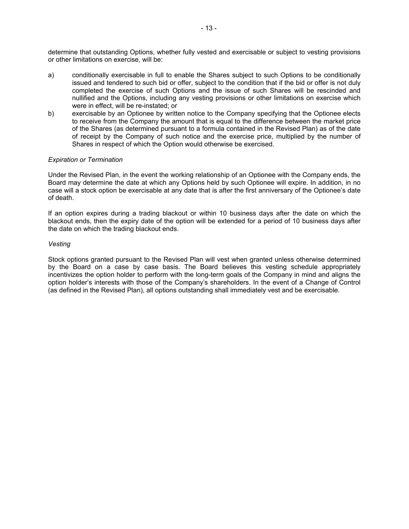determine that outstanding Options, whether fully vested and exercisable or subject to vesting provisions or other limitations on exercise, will be:

- a) conditionally exercisable in full to enable the Shares subject to such Options to be conditionally issued and tendered to such bid or offer, subject to the condition that if the bid or offer is not duly completed the exercise of such Options and the issue of such Shares will be rescinded and nullified and the Options, including any vesting provisions or other limitations on exercise which were in effect, will be re-instated; or
- b) exercisable by an Optionee by written notice to the Company specifying that the Optionee elects to receive from the Company the amount that is equal to the difference between the market price of the Shares (as determined pursuant to a formula contained in the Revised Plan) as of the date of receipt by the Company of such notice and the exercise price, multiplied by the number of Shares in respect of which the Option would otherwise be exercised.

## *Expiration or Termination*

Under the Revised Plan, in the event the working relationship of an Optionee with the Company ends, the Board may determine the date at which any Options held by such Optionee will expire. In addition, in no case will a stock option be exercisable at any date that is after the first anniversary of the Optionee's date of death.

If an option expires during a trading blackout or within 10 business days after the date on which the blackout ends, then the expiry date of the option will be extended for a period of 10 business days after the date on which the trading blackout ends.

#### *Vesting*

Stock options granted pursuant to the Revised Plan will vest when granted unless otherwise determined by the Board on a case by case basis. The Board believes this vesting schedule appropriately incentivizes the option holder to perform with the long-term goals of the Company in mind and aligns the option holder's interests with those of the Company's shareholders. In the event of a Change of Control (as defined in the Revised Plan), all options outstanding shall immediately vest and be exercisable.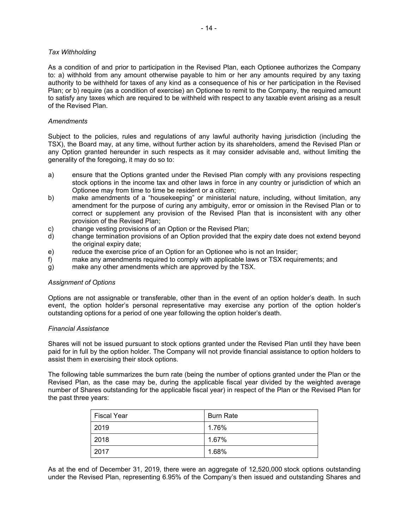#### *Tax Withholding*

As a condition of and prior to participation in the Revised Plan, each Optionee authorizes the Company to: a) withhold from any amount otherwise payable to him or her any amounts required by any taxing authority to be withheld for taxes of any kind as a consequence of his or her participation in the Revised Plan; or b) require (as a condition of exercise) an Optionee to remit to the Company, the required amount to satisfy any taxes which are required to be withheld with respect to any taxable event arising as a result of the Revised Plan.

#### *Amendments*

Subject to the policies, rules and regulations of any lawful authority having jurisdiction (including the TSX), the Board may, at any time, without further action by its shareholders, amend the Revised Plan or any Option granted hereunder in such respects as it may consider advisable and, without limiting the generality of the foregoing, it may do so to:

- a) ensure that the Options granted under the Revised Plan comply with any provisions respecting stock options in the income tax and other laws in force in any country or jurisdiction of which an Optionee may from time to time be resident or a citizen;
- b) make amendments of a "housekeeping" or ministerial nature, including, without limitation, any amendment for the purpose of curing any ambiguity, error or omission in the Revised Plan or to correct or supplement any provision of the Revised Plan that is inconsistent with any other provision of the Revised Plan;
- c) change vesting provisions of an Option or the Revised Plan;
- d) change termination provisions of an Option provided that the expiry date does not extend beyond the original expiry date:
- e) reduce the exercise price of an Option for an Optionee who is not an Insider;
- f) make any amendments required to comply with applicable laws or TSX requirements; and
- g) make any other amendments which are approved by the TSX.

#### *Assignment of Options*

Options are not assignable or transferable, other than in the event of an option holder's death. In such event, the option holder's personal representative may exercise any portion of the option holder's outstanding options for a period of one year following the option holder's death.

#### *Financial Assistance*

Shares will not be issued pursuant to stock options granted under the Revised Plan until they have been paid for in full by the option holder. The Company will not provide financial assistance to option holders to assist them in exercising their stock options.

The following table summarizes the burn rate (being the number of options granted under the Plan or the Revised Plan, as the case may be, during the applicable fiscal year divided by the weighted average number of Shares outstanding for the applicable fiscal year) in respect of the Plan or the Revised Plan for the past three years:

| <b>Fiscal Year</b> | <b>Burn Rate</b> |
|--------------------|------------------|
| 2019               | 1.76%            |
| 2018               | 1.67%            |
| 2017               | 1.68%            |

As at the end of December 31, 2019, there were an aggregate of 12,520,000 stock options outstanding under the Revised Plan, representing 6.95% of the Company's then issued and outstanding Shares and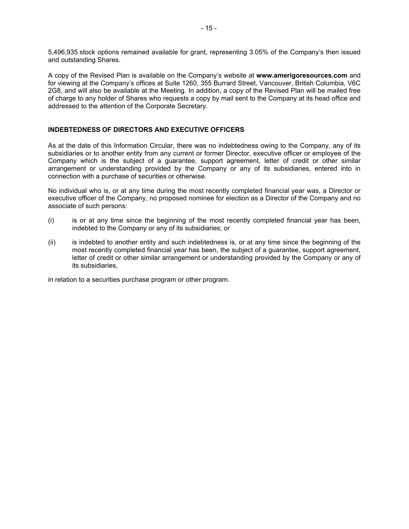5,496,935 stock options remained available for grant, representing 3.05% of the Company's then issued and outstanding Shares.

A copy of the Revised Plan is available on the Company's website at **www.amerigoresources.com** and for viewing at the Company's offices at Suite 1260, 355 Burrard Street, Vancouver, British Columbia, V6C 2G8, and will also be available at the Meeting. In addition, a copy of the Revised Plan will be mailed free of charge to any holder of Shares who requests a copy by mail sent to the Company at its head office and addressed to the attention of the Corporate Secretary.

## **INDEBTEDNESS OF DIRECTORS AND EXECUTIVE OFFICERS**

As at the date of this Information Circular, there was no indebtedness owing to the Company, any of its subsidiaries or to another entity from any current or former Director, executive officer or employee of the Company which is the subject of a guarantee, support agreement, letter of credit or other similar arrangement or understanding provided by the Company or any of its subsidiaries, entered into in connection with a purchase of securities or otherwise.

No individual who is, or at any time during the most recently completed financial year was, a Director or executive officer of the Company, no proposed nominee for election as a Director of the Company and no associate of such persons:

- (i) is or at any time since the beginning of the most recently completed financial year has been, indebted to the Company or any of its subsidiaries; or
- (ii) is indebted to another entity and such indebtedness is, or at any time since the beginning of the most recently completed financial year has been, the subject of a guarantee, support agreement, letter of credit or other similar arrangement or understanding provided by the Company or any of its subsidiaries,

in relation to a securities purchase program or other program.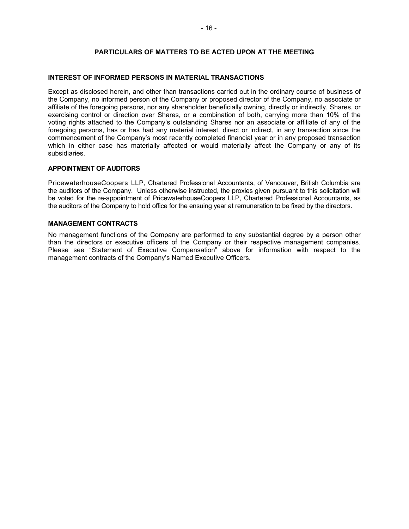## **PARTICULARS OF MATTERS TO BE ACTED UPON AT THE MEETING**

## **INTEREST OF INFORMED PERSONS IN MATERIAL TRANSACTIONS**

Except as disclosed herein, and other than transactions carried out in the ordinary course of business of the Company, no informed person of the Company or proposed director of the Company, no associate or affiliate of the foregoing persons, nor any shareholder beneficially owning, directly or indirectly, Shares, or exercising control or direction over Shares, or a combination of both, carrying more than 10% of the voting rights attached to the Company's outstanding Shares nor an associate or affiliate of any of the foregoing persons, has or has had any material interest, direct or indirect, in any transaction since the commencement of the Company's most recently completed financial year or in any proposed transaction which in either case has materially affected or would materially affect the Company or any of its subsidiaries.

## **APPOINTMENT OF AUDITORS**

PricewaterhouseCoopers LLP, Chartered Professional Accountants, of Vancouver, British Columbia are the auditors of the Company. Unless otherwise instructed, the proxies given pursuant to this solicitation will be voted for the re-appointment of PricewaterhouseCoopers LLP, Chartered Professional Accountants, as the auditors of the Company to hold office for the ensuing year at remuneration to be fixed by the directors.

#### **MANAGEMENT CONTRACTS**

No management functions of the Company are performed to any substantial degree by a person other than the directors or executive officers of the Company or their respective management companies. Please see "Statement of Executive Compensation" above for information with respect to the management contracts of the Company's Named Executive Officers.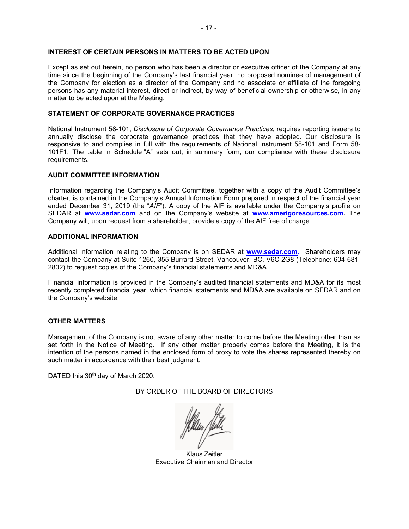## **INTEREST OF CERTAIN PERSONS IN MATTERS TO BE ACTED UPON**

Except as set out herein, no person who has been a director or executive officer of the Company at any time since the beginning of the Company's last financial year, no proposed nominee of management of the Company for election as a director of the Company and no associate or affiliate of the foregoing persons has any material interest, direct or indirect, by way of beneficial ownership or otherwise, in any matter to be acted upon at the Meeting.

#### **STATEMENT OF CORPORATE GOVERNANCE PRACTICES**

National Instrument 58-101, *Disclosure of Corporate Governance Practices*, requires reporting issuers to annually disclose the corporate governance practices that they have adopted. Our disclosure is responsive to and complies in full with the requirements of National Instrument 58-101 and Form 58- 101F1. The table in Schedule "A" sets out, in summary form, our compliance with these disclosure requirements.

#### **AUDIT COMMITTEE INFORMATION**

Information regarding the Company's Audit Committee, together with a copy of the Audit Committee's charter, is contained in the Company's Annual Information Form prepared in respect of the financial year ended December 31, 2019 (the "*AIF*"). A copy of the AIF is available under the Company's profile on SEDAR at **www.sedar.com** and on the Company's website at **www.amerigoresources.com.** The Company will, upon request from a shareholder, provide a copy of the AIF free of charge.

#### **ADDITIONAL INFORMATION**

Additional information relating to the Company is on SEDAR at **www.sedar.com**. Shareholders may contact the Company at Suite 1260, 355 Burrard Street, Vancouver, BC, V6C 2G8 (Telephone: 604-681- 2802) to request copies of the Company's financial statements and MD&A.

Financial information is provided in the Company's audited financial statements and MD&A for its most recently completed financial year, which financial statements and MD&A are available on SEDAR and on the Company's website.

## **OTHER MATTERS**

Management of the Company is not aware of any other matter to come before the Meeting other than as set forth in the Notice of Meeting. If any other matter properly comes before the Meeting, it is the intention of the persons named in the enclosed form of proxy to vote the shares represented thereby on such matter in accordance with their best judgment.

DATED this 30<sup>th</sup> day of March 2020.

BY ORDER OF THE BOARD OF DIRECTORS

Klaus Zeitler Executive Chairman and Director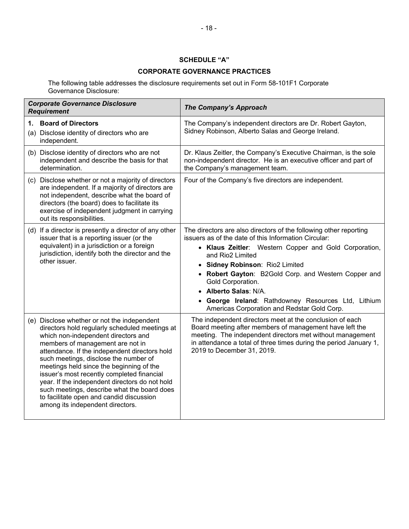## **SCHEDULE "A"**

# **CORPORATE GOVERNANCE PRACTICES**

The following table addresses the disclosure requirements set out in Form 58-101F1 Corporate Governance Disclosure:

| <b>Corporate Governance Disclosure</b><br><b>Requirement</b>                                                                                                                                                                                                                                                                                                                                                                                                                                                                                  | <b>The Company's Approach</b>                                                                                                                                                                                                                                                                                                                                                                                                                         |
|-----------------------------------------------------------------------------------------------------------------------------------------------------------------------------------------------------------------------------------------------------------------------------------------------------------------------------------------------------------------------------------------------------------------------------------------------------------------------------------------------------------------------------------------------|-------------------------------------------------------------------------------------------------------------------------------------------------------------------------------------------------------------------------------------------------------------------------------------------------------------------------------------------------------------------------------------------------------------------------------------------------------|
| <b>Board of Directors</b><br>1.<br>(a) Disclose identity of directors who are<br>independent.                                                                                                                                                                                                                                                                                                                                                                                                                                                 | The Company's independent directors are Dr. Robert Gayton,<br>Sidney Robinson, Alberto Salas and George Ireland.                                                                                                                                                                                                                                                                                                                                      |
| (b) Disclose identity of directors who are not<br>independent and describe the basis for that<br>determination.                                                                                                                                                                                                                                                                                                                                                                                                                               | Dr. Klaus Zeitler, the Company's Executive Chairman, is the sole<br>non-independent director. He is an executive officer and part of<br>the Company's management team.                                                                                                                                                                                                                                                                                |
| (c) Disclose whether or not a majority of directors<br>are independent. If a majority of directors are<br>not independent, describe what the board of<br>directors (the board) does to facilitate its<br>exercise of independent judgment in carrying<br>out its responsibilities.                                                                                                                                                                                                                                                            | Four of the Company's five directors are independent.                                                                                                                                                                                                                                                                                                                                                                                                 |
| (d) If a director is presently a director of any other<br>issuer that is a reporting issuer (or the<br>equivalent) in a jurisdiction or a foreign<br>jurisdiction, identify both the director and the<br>other issuer.                                                                                                                                                                                                                                                                                                                        | The directors are also directors of the following other reporting<br>issuers as of the date of this Information Circular:<br>• Klaus Zeitler: Western Copper and Gold Corporation,<br>and Rio2 Limited<br>• Sidney Robinson: Rio2 Limited<br>• Robert Gayton: B2Gold Corp. and Western Copper and<br>Gold Corporation.<br>• Alberto Salas: N/A.<br>• George Ireland: Rathdowney Resources Ltd, Lithium<br>Americas Corporation and Redstar Gold Corp. |
| (e) Disclose whether or not the independent<br>directors hold regularly scheduled meetings at<br>which non-independent directors and<br>members of management are not in<br>attendance. If the independent directors hold<br>such meetings, disclose the number of<br>meetings held since the beginning of the<br>issuer's most recently completed financial<br>year. If the independent directors do not hold<br>such meetings, describe what the board does<br>to facilitate open and candid discussion<br>among its independent directors. | The independent directors meet at the conclusion of each<br>Board meeting after members of management have left the<br>meeting. The independent directors met without management<br>in attendance a total of three times during the period January 1,<br>2019 to December 31, 2019.                                                                                                                                                                   |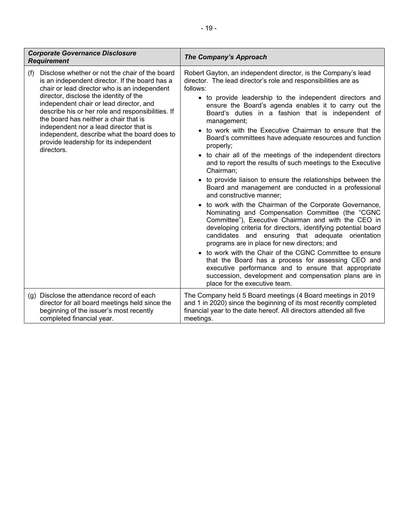| <b>Corporate Governance Disclosure</b><br><b>Requirement</b>                                                                                                                                                                                                                                                                                                                                                                                                                                  | <b>The Company's Approach</b>                                                                                                                                                                                                                                                                                                                                                                                                                                                                                                                                                                                                                                                                                                                                                                                                                                                                                                                                                                                                                                                                                                                                                                                                                                                                                                                                                              |
|-----------------------------------------------------------------------------------------------------------------------------------------------------------------------------------------------------------------------------------------------------------------------------------------------------------------------------------------------------------------------------------------------------------------------------------------------------------------------------------------------|--------------------------------------------------------------------------------------------------------------------------------------------------------------------------------------------------------------------------------------------------------------------------------------------------------------------------------------------------------------------------------------------------------------------------------------------------------------------------------------------------------------------------------------------------------------------------------------------------------------------------------------------------------------------------------------------------------------------------------------------------------------------------------------------------------------------------------------------------------------------------------------------------------------------------------------------------------------------------------------------------------------------------------------------------------------------------------------------------------------------------------------------------------------------------------------------------------------------------------------------------------------------------------------------------------------------------------------------------------------------------------------------|
| Disclose whether or not the chair of the board<br>(f)<br>is an independent director. If the board has a<br>chair or lead director who is an independent<br>director, disclose the identity of the<br>independent chair or lead director, and<br>describe his or her role and responsibilities. If<br>the board has neither a chair that is<br>independent nor a lead director that is<br>independent, describe what the board does to<br>provide leadership for its independent<br>directors. | Robert Gayton, an independent director, is the Company's lead<br>director. The lead director's role and responsibilities are as<br>follows:<br>• to provide leadership to the independent directors and<br>ensure the Board's agenda enables it to carry out the<br>Board's duties in a fashion that is independent of<br>management;<br>• to work with the Executive Chairman to ensure that the<br>Board's committees have adequate resources and function<br>properly;<br>• to chair all of the meetings of the independent directors<br>and to report the results of such meetings to the Executive<br>Chairman;<br>• to provide liaison to ensure the relationships between the<br>Board and management are conducted in a professional<br>and constructive manner;<br>• to work with the Chairman of the Corporate Governance,<br>Nominating and Compensation Committee (the "CGNC<br>Committee"), Executive Chairman and with the CEO in<br>developing criteria for directors, identifying potential board<br>candidates and ensuring that adequate orientation<br>programs are in place for new directors; and<br>• to work with the Chair of the CGNC Committee to ensure<br>that the Board has a process for assessing CEO and<br>executive performance and to ensure that appropriate<br>succession, development and compensation plans are in<br>place for the executive team. |
| (g) Disclose the attendance record of each<br>director for all board meetings held since the<br>beginning of the issuer's most recently<br>completed financial year.                                                                                                                                                                                                                                                                                                                          | The Company held 5 Board meetings (4 Board meetings in 2019<br>and 1 in 2020) since the beginning of its most recently completed<br>financial year to the date hereof. All directors attended all five<br>meetings.                                                                                                                                                                                                                                                                                                                                                                                                                                                                                                                                                                                                                                                                                                                                                                                                                                                                                                                                                                                                                                                                                                                                                                        |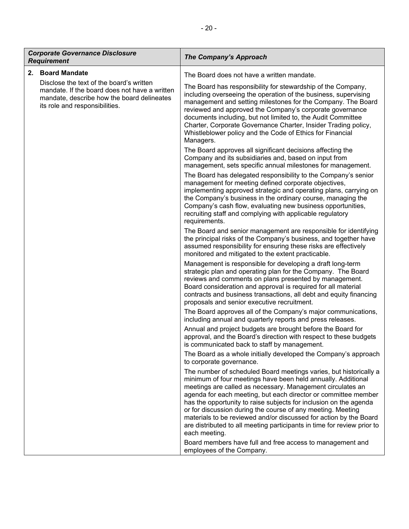|    | <b>Corporate Governance Disclosure</b><br><b>Requirement</b>                                                                                                              | <b>The Company's Approach</b>                                                                                                                                                                                                                                                                                                                                                                                                                                                                                                                                          |
|----|---------------------------------------------------------------------------------------------------------------------------------------------------------------------------|------------------------------------------------------------------------------------------------------------------------------------------------------------------------------------------------------------------------------------------------------------------------------------------------------------------------------------------------------------------------------------------------------------------------------------------------------------------------------------------------------------------------------------------------------------------------|
| 2. | <b>Board Mandate</b>                                                                                                                                                      | The Board does not have a written mandate.                                                                                                                                                                                                                                                                                                                                                                                                                                                                                                                             |
|    | Disclose the text of the board's written<br>mandate. If the board does not have a written<br>mandate, describe how the board delineates<br>its role and responsibilities. | The Board has responsibility for stewardship of the Company,<br>including overseeing the operation of the business, supervising<br>management and setting milestones for the Company. The Board<br>reviewed and approved the Company's corporate governance<br>documents including, but not limited to, the Audit Committee<br>Charter, Corporate Governance Charter, Insider Trading policy,<br>Whistleblower policy and the Code of Ethics for Financial<br>Managers.                                                                                                |
|    |                                                                                                                                                                           | The Board approves all significant decisions affecting the<br>Company and its subsidiaries and, based on input from<br>management, sets specific annual milestones for management.                                                                                                                                                                                                                                                                                                                                                                                     |
|    |                                                                                                                                                                           | The Board has delegated responsibility to the Company's senior<br>management for meeting defined corporate objectives,<br>implementing approved strategic and operating plans, carrying on<br>the Company's business in the ordinary course, managing the<br>Company's cash flow, evaluating new business opportunities,<br>recruiting staff and complying with applicable regulatory<br>requirements.                                                                                                                                                                 |
|    |                                                                                                                                                                           | The Board and senior management are responsible for identifying<br>the principal risks of the Company's business, and together have<br>assumed responsibility for ensuring these risks are effectively<br>monitored and mitigated to the extent practicable.                                                                                                                                                                                                                                                                                                           |
|    |                                                                                                                                                                           | Management is responsible for developing a draft long-term<br>strategic plan and operating plan for the Company. The Board<br>reviews and comments on plans presented by management.<br>Board consideration and approval is required for all material<br>contracts and business transactions, all debt and equity financing<br>proposals and senior executive recruitment.                                                                                                                                                                                             |
|    |                                                                                                                                                                           | The Board approves all of the Company's major communications,<br>including annual and quarterly reports and press releases.                                                                                                                                                                                                                                                                                                                                                                                                                                            |
|    |                                                                                                                                                                           | Annual and project budgets are brought before the Board for<br>approval, and the Board's direction with respect to these budgets<br>is communicated back to staff by management.                                                                                                                                                                                                                                                                                                                                                                                       |
|    |                                                                                                                                                                           | The Board as a whole initially developed the Company's approach<br>to corporate governance.                                                                                                                                                                                                                                                                                                                                                                                                                                                                            |
|    |                                                                                                                                                                           | The number of scheduled Board meetings varies, but historically a<br>minimum of four meetings have been held annually. Additional<br>meetings are called as necessary. Management circulates an<br>agenda for each meeting, but each director or committee member<br>has the opportunity to raise subjects for inclusion on the agenda<br>or for discussion during the course of any meeting. Meeting<br>materials to be reviewed and/or discussed for action by the Board<br>are distributed to all meeting participants in time for review prior to<br>each meeting. |
|    |                                                                                                                                                                           | Board members have full and free access to management and<br>employees of the Company.                                                                                                                                                                                                                                                                                                                                                                                                                                                                                 |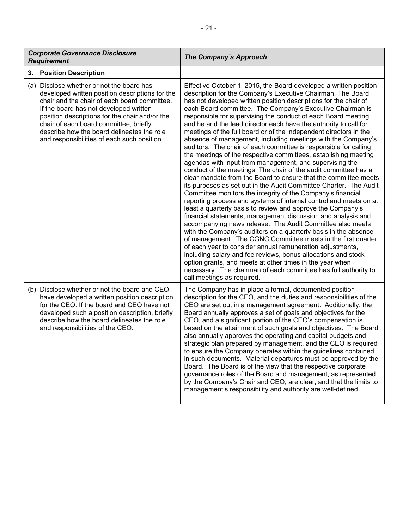| <b>Corporate Governance Disclosure</b><br><b>Requirement</b>                                                                                                                                                                                                                                                                                                                    | <b>The Company's Approach</b>                                                                                                                                                                                                                                                                                                                                                                                                                                                                                                                                                                                                                                                                                                                                                                                                                                                                                                                                                                                                                                                                                                                                                                                                                                                                                                                                                                                                                                                                                                                                                                                                                                                                                          |
|---------------------------------------------------------------------------------------------------------------------------------------------------------------------------------------------------------------------------------------------------------------------------------------------------------------------------------------------------------------------------------|------------------------------------------------------------------------------------------------------------------------------------------------------------------------------------------------------------------------------------------------------------------------------------------------------------------------------------------------------------------------------------------------------------------------------------------------------------------------------------------------------------------------------------------------------------------------------------------------------------------------------------------------------------------------------------------------------------------------------------------------------------------------------------------------------------------------------------------------------------------------------------------------------------------------------------------------------------------------------------------------------------------------------------------------------------------------------------------------------------------------------------------------------------------------------------------------------------------------------------------------------------------------------------------------------------------------------------------------------------------------------------------------------------------------------------------------------------------------------------------------------------------------------------------------------------------------------------------------------------------------------------------------------------------------------------------------------------------------|
| <b>Position Description</b><br>3.                                                                                                                                                                                                                                                                                                                                               |                                                                                                                                                                                                                                                                                                                                                                                                                                                                                                                                                                                                                                                                                                                                                                                                                                                                                                                                                                                                                                                                                                                                                                                                                                                                                                                                                                                                                                                                                                                                                                                                                                                                                                                        |
| (a) Disclose whether or not the board has<br>developed written position descriptions for the<br>chair and the chair of each board committee.<br>If the board has not developed written<br>position descriptions for the chair and/or the<br>chair of each board committee, briefly<br>describe how the board delineates the role<br>and responsibilities of each such position. | Effective October 1, 2015, the Board developed a written position<br>description for the Company's Executive Chairman. The Board<br>has not developed written position descriptions for the chair of<br>each Board committee. The Company's Executive Chairman is<br>responsible for supervising the conduct of each Board meeting<br>and he and the lead director each have the authority to call for<br>meetings of the full board or of the independent directors in the<br>absence of management, including meetings with the Company's<br>auditors. The chair of each committee is responsible for calling<br>the meetings of the respective committees, establishing meeting<br>agendas with input from management, and supervising the<br>conduct of the meetings. The chair of the audit committee has a<br>clear mandate from the Board to ensure that the committee meets<br>its purposes as set out in the Audit Committee Charter. The Audit<br>Committee monitors the integrity of the Company's financial<br>reporting process and systems of internal control and meets on at<br>least a quarterly basis to review and approve the Company's<br>financial statements, management discussion and analysis and<br>accompanying news release. The Audit Committee also meets<br>with the Company's auditors on a quarterly basis in the absence<br>of management. The CGNC Committee meets in the first quarter<br>of each year to consider annual remuneration adjustments,<br>including salary and fee reviews, bonus allocations and stock<br>option grants, and meets at other times in the year when<br>necessary. The chairman of each committee has full authority to<br>call meetings as required. |
| (b) Disclose whether or not the board and CEO<br>have developed a written position description<br>for the CEO. If the board and CEO have not<br>developed such a position description, briefly<br>describe how the board delineates the role<br>and responsibilities of the CEO.                                                                                                | The Company has in place a formal, documented position<br>description for the CEO, and the duties and responsibilities of the<br>CEO are set out in a management agreement. Additionally, the<br>Board annually approves a set of goals and objectives for the<br>CEO, and a significant portion of the CEO's compensation is<br>based on the attainment of such goals and objectives. The Board<br>also annually approves the operating and capital budgets and<br>strategic plan prepared by management, and the CEO is required<br>to ensure the Company operates within the guidelines contained<br>in such documents. Material departures must be approved by the<br>Board. The Board is of the view that the respective corporate<br>governance roles of the Board and management, as represented<br>by the Company's Chair and CEO, are clear, and that the limits to<br>management's responsibility and authority are well-defined.                                                                                                                                                                                                                                                                                                                                                                                                                                                                                                                                                                                                                                                                                                                                                                            |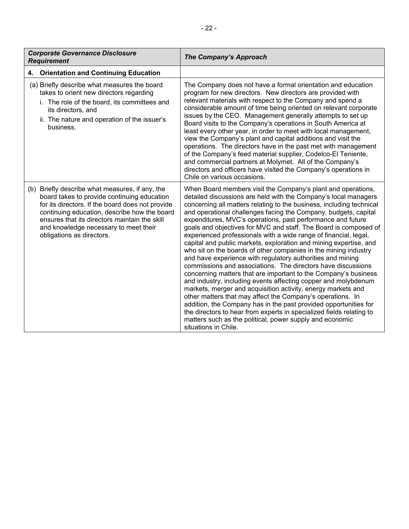| <b>Corporate Governance Disclosure</b><br><b>Requirement</b>                                                                                                                                                                                                                                                              | <b>The Company's Approach</b>                                                                                                                                                                                                                                                                                                                                                                                                                                                                                                                                                                                                                                                                                                                                                                                                                                                                                                                                                                                                                                                                                                                                                                                                                              |
|---------------------------------------------------------------------------------------------------------------------------------------------------------------------------------------------------------------------------------------------------------------------------------------------------------------------------|------------------------------------------------------------------------------------------------------------------------------------------------------------------------------------------------------------------------------------------------------------------------------------------------------------------------------------------------------------------------------------------------------------------------------------------------------------------------------------------------------------------------------------------------------------------------------------------------------------------------------------------------------------------------------------------------------------------------------------------------------------------------------------------------------------------------------------------------------------------------------------------------------------------------------------------------------------------------------------------------------------------------------------------------------------------------------------------------------------------------------------------------------------------------------------------------------------------------------------------------------------|
| <b>Orientation and Continuing Education</b><br>4.                                                                                                                                                                                                                                                                         |                                                                                                                                                                                                                                                                                                                                                                                                                                                                                                                                                                                                                                                                                                                                                                                                                                                                                                                                                                                                                                                                                                                                                                                                                                                            |
| (a) Briefly describe what measures the board<br>takes to orient new directors regarding<br>i. The role of the board, its committees and<br>its directors, and<br>ii. The nature and operation of the issuer's<br>business.                                                                                                | The Company does not have a formal orientation and education<br>program for new directors. New directors are provided with<br>relevant materials with respect to the Company and spend a<br>considerable amount of time being oriented on relevant corporate<br>issues by the CEO. Management generally attempts to set up<br>Board visits to the Company's operations in South America at<br>least every other year, in order to meet with local management,<br>view the Company's plant and capital additions and visit the<br>operations. The directors have in the past met with management<br>of the Company's feed material supplier, Codelco-El Teniente,<br>and commercial partners at Molymet. All of the Company's<br>directors and officers have visited the Company's operations in<br>Chile on various occasions.                                                                                                                                                                                                                                                                                                                                                                                                                             |
| (b) Briefly describe what measures, if any, the<br>board takes to provide continuing education<br>for its directors. If the board does not provide<br>continuing education, describe how the board<br>ensures that its directors maintain the skill<br>and knowledge necessary to meet their<br>obligations as directors. | When Board members visit the Company's plant and operations,<br>detailed discussions are held with the Company's local managers<br>concerning all matters relating to the business, including technical<br>and operational challenges facing the Company, budgets, capital<br>expenditures, MVC's operations, past performance and future<br>goals and objectives for MVC and staff. The Board is composed of<br>experienced professionals with a wide range of financial, legal,<br>capital and public markets, exploration and mining expertise, and<br>who sit on the boards of other companies in the mining industry<br>and have experience with regulatory authorities and mining<br>commissions and associations. The directors have discussions<br>concerning matters that are important to the Company's business<br>and industry, including events affecting copper and molybdenum<br>markets, merger and acquisition activity, energy markets and<br>other matters that may affect the Company's operations. In<br>addition, the Company has in the past provided opportunities for<br>the directors to hear from experts in specialized fields relating to<br>matters such as the political, power supply and economic<br>situations in Chile. |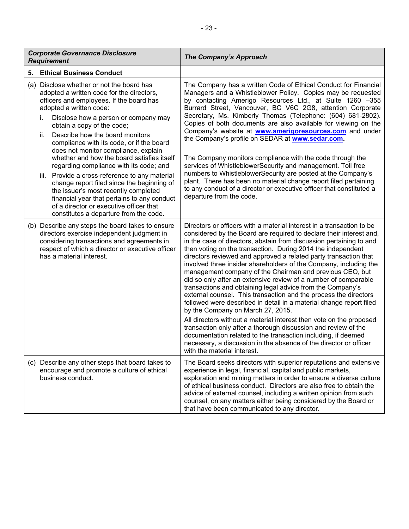|    | <b>Corporate Governance Disclosure</b><br><b>Requirement</b>                                                                                                                                                                 | <b>The Company's Approach</b>                                                                                                                                                                                                                                                                                                                                                                                                                                                                                                                                                                                                                                                                                                                                                                                                                                                   |
|----|------------------------------------------------------------------------------------------------------------------------------------------------------------------------------------------------------------------------------|---------------------------------------------------------------------------------------------------------------------------------------------------------------------------------------------------------------------------------------------------------------------------------------------------------------------------------------------------------------------------------------------------------------------------------------------------------------------------------------------------------------------------------------------------------------------------------------------------------------------------------------------------------------------------------------------------------------------------------------------------------------------------------------------------------------------------------------------------------------------------------|
| 5. | <b>Ethical Business Conduct</b>                                                                                                                                                                                              |                                                                                                                                                                                                                                                                                                                                                                                                                                                                                                                                                                                                                                                                                                                                                                                                                                                                                 |
|    | (a) Disclose whether or not the board has<br>adopted a written code for the directors,<br>officers and employees. If the board has<br>adopted a written code:                                                                | The Company has a written Code of Ethical Conduct for Financial<br>Managers and a Whistleblower Policy. Copies may be requested<br>by contacting Amerigo Resources Ltd., at Suite 1260 -355<br>Burrard Street, Vancouver, BC V6C 2G8, attention Corporate                                                                                                                                                                                                                                                                                                                                                                                                                                                                                                                                                                                                                       |
|    | Disclose how a person or company may<br>İ.<br>obtain a copy of the code;                                                                                                                                                     | Secretary, Ms. Kimberly Thomas (Telephone: (604) 681-2802).<br>Copies of both documents are also available for viewing on the<br>Company's website at <b>www.amerigoresources.com</b> and under                                                                                                                                                                                                                                                                                                                                                                                                                                                                                                                                                                                                                                                                                 |
|    | Describe how the board monitors<br>ii.<br>compliance with its code, or if the board<br>does not monitor compliance, explain<br>whether and how the board satisfies itself                                                    | the Company's profile on SEDAR at <b>www.sedar.com</b> .<br>The Company monitors compliance with the code through the                                                                                                                                                                                                                                                                                                                                                                                                                                                                                                                                                                                                                                                                                                                                                           |
|    | regarding compliance with its code; and<br>iii. Provide a cross-reference to any material                                                                                                                                    | services of WhistleblowerSecurity and management. Toll free<br>numbers to WhistleblowerSecurity are posted at the Company's<br>plant. There has been no material change report filed pertaining                                                                                                                                                                                                                                                                                                                                                                                                                                                                                                                                                                                                                                                                                 |
|    | change report filed since the beginning of<br>the issuer's most recently completed<br>financial year that pertains to any conduct<br>of a director or executive officer that<br>constitutes a departure from the code.       | to any conduct of a director or executive officer that constituted a<br>departure from the code.                                                                                                                                                                                                                                                                                                                                                                                                                                                                                                                                                                                                                                                                                                                                                                                |
|    | (b) Describe any steps the board takes to ensure<br>directors exercise independent judgment in<br>considering transactions and agreements in<br>respect of which a director or executive officer<br>has a material interest. | Directors or officers with a material interest in a transaction to be<br>considered by the Board are required to declare their interest and,<br>in the case of directors, abstain from discussion pertaining to and<br>then voting on the transaction. During 2014 the independent<br>directors reviewed and approved a related party transaction that<br>involved three insider shareholders of the Company, including the<br>management company of the Chairman and previous CEO, but<br>did so only after an extensive review of a number of comparable<br>transactions and obtaining legal advice from the Company's<br>external counsel. This transaction and the process the directors<br>followed were described in detail in a material change report filed<br>by the Company on March 27, 2015.<br>All directors without a material interest then vote on the proposed |
|    |                                                                                                                                                                                                                              | transaction only after a thorough discussion and review of the<br>documentation related to the transaction including, if deemed<br>necessary, a discussion in the absence of the director or officer<br>with the material interest.                                                                                                                                                                                                                                                                                                                                                                                                                                                                                                                                                                                                                                             |
|    | (c) Describe any other steps that board takes to<br>encourage and promote a culture of ethical<br>business conduct.                                                                                                          | The Board seeks directors with superior reputations and extensive<br>experience in legal, financial, capital and public markets,<br>exploration and mining matters in order to ensure a diverse culture<br>of ethical business conduct. Directors are also free to obtain the<br>advice of external counsel, including a written opinion from such<br>counsel, on any matters either being considered by the Board or<br>that have been communicated to any director.                                                                                                                                                                                                                                                                                                                                                                                                           |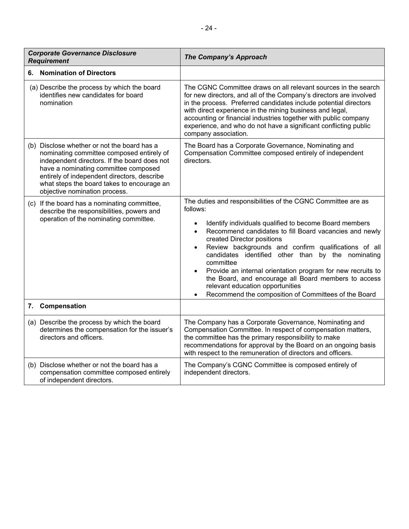| <b>Corporate Governance Disclosure</b><br><b>Requirement</b>                                                                                                                                                                                                                                                   | <b>The Company's Approach</b>                                                                                                                                                                                                                                                                                                                                                                                                                                                                                                                                                                                                   |
|----------------------------------------------------------------------------------------------------------------------------------------------------------------------------------------------------------------------------------------------------------------------------------------------------------------|---------------------------------------------------------------------------------------------------------------------------------------------------------------------------------------------------------------------------------------------------------------------------------------------------------------------------------------------------------------------------------------------------------------------------------------------------------------------------------------------------------------------------------------------------------------------------------------------------------------------------------|
| 6. Nomination of Directors                                                                                                                                                                                                                                                                                     |                                                                                                                                                                                                                                                                                                                                                                                                                                                                                                                                                                                                                                 |
| (a) Describe the process by which the board<br>identifies new candidates for board<br>nomination                                                                                                                                                                                                               | The CGNC Committee draws on all relevant sources in the search<br>for new directors, and all of the Company's directors are involved<br>in the process. Preferred candidates include potential directors<br>with direct experience in the mining business and legal,<br>accounting or financial industries together with public company<br>experience, and who do not have a significant conflicting public<br>company association.                                                                                                                                                                                             |
| (b) Disclose whether or not the board has a<br>nominating committee composed entirely of<br>independent directors. If the board does not<br>have a nominating committee composed<br>entirely of independent directors, describe<br>what steps the board takes to encourage an<br>objective nomination process. | The Board has a Corporate Governance, Nominating and<br>Compensation Committee composed entirely of independent<br>directors.                                                                                                                                                                                                                                                                                                                                                                                                                                                                                                   |
| (c) If the board has a nominating committee,<br>describe the responsibilities, powers and<br>operation of the nominating committee.                                                                                                                                                                            | The duties and responsibilities of the CGNC Committee are as<br>follows:<br>Identify individuals qualified to become Board members<br>$\bullet$<br>Recommend candidates to fill Board vacancies and newly<br>$\bullet$<br>created Director positions<br>Review backgrounds and confirm qualifications of all<br>$\bullet$<br>candidates identified other than<br>by the nominating<br>committee<br>Provide an internal orientation program for new recruits to<br>$\bullet$<br>the Board, and encourage all Board members to access<br>relevant education opportunities<br>Recommend the composition of Committees of the Board |
| Compensation<br>7.                                                                                                                                                                                                                                                                                             |                                                                                                                                                                                                                                                                                                                                                                                                                                                                                                                                                                                                                                 |
| (a) Describe the process by which the board<br>determines the compensation for the issuer's<br>directors and officers.                                                                                                                                                                                         | The Company has a Corporate Governance, Nominating and<br>Compensation Committee. In respect of compensation matters,<br>the committee has the primary responsibility to make<br>recommendations for approval by the Board on an ongoing basis<br>with respect to the remuneration of directors and officers.                                                                                                                                                                                                                                                                                                                   |
| (b) Disclose whether or not the board has a<br>compensation committee composed entirely<br>of independent directors.                                                                                                                                                                                           | The Company's CGNC Committee is composed entirely of<br>independent directors.                                                                                                                                                                                                                                                                                                                                                                                                                                                                                                                                                  |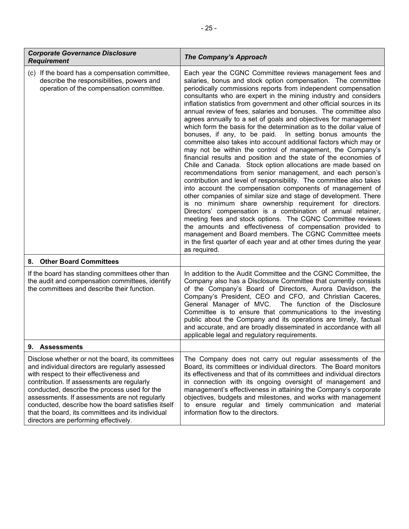| <b>Corporate Governance Disclosure</b><br><b>Requirement</b>                                                                                                                                                                                                                                                                                                                                                                                       | <b>The Company's Approach</b>                                                                                                                                                                                                                                                                                                                                                                                                                                                                                                                                                                                                                                                                                                                                                                                                                                                                                                                                                                                                                                                                                                                                                                                                                                                                                                                                                                                                                                                                                                                                         |
|----------------------------------------------------------------------------------------------------------------------------------------------------------------------------------------------------------------------------------------------------------------------------------------------------------------------------------------------------------------------------------------------------------------------------------------------------|-----------------------------------------------------------------------------------------------------------------------------------------------------------------------------------------------------------------------------------------------------------------------------------------------------------------------------------------------------------------------------------------------------------------------------------------------------------------------------------------------------------------------------------------------------------------------------------------------------------------------------------------------------------------------------------------------------------------------------------------------------------------------------------------------------------------------------------------------------------------------------------------------------------------------------------------------------------------------------------------------------------------------------------------------------------------------------------------------------------------------------------------------------------------------------------------------------------------------------------------------------------------------------------------------------------------------------------------------------------------------------------------------------------------------------------------------------------------------------------------------------------------------------------------------------------------------|
| (c) If the board has a compensation committee,<br>describe the responsibilities, powers and<br>operation of the compensation committee.                                                                                                                                                                                                                                                                                                            | Each year the CGNC Committee reviews management fees and<br>salaries, bonus and stock option compensation. The committee<br>periodically commissions reports from independent compensation<br>consultants who are expert in the mining industry and considers<br>inflation statistics from government and other official sources in its<br>annual review of fees, salaries and bonuses. The committee also<br>agrees annually to a set of goals and objectives for management<br>which form the basis for the determination as to the dollar value of<br>bonuses, if any, to be paid. In setting bonus amounts the<br>committee also takes into account additional factors which may or<br>may not be within the control of management, the Company's<br>financial results and position and the state of the economies of<br>Chile and Canada. Stock option allocations are made based on<br>recommendations from senior management, and each person's<br>contribution and level of responsibility. The committee also takes<br>into account the compensation components of management of<br>other companies of similar size and stage of development. There<br>is no minimum share ownership requirement for directors.<br>Directors' compensation is a combination of annual retainer,<br>meeting fees and stock options. The CGNC Committee reviews<br>the amounts and effectiveness of compensation provided to<br>management and Board members. The CGNC Committee meets<br>in the first quarter of each year and at other times during the year<br>as required. |
| <b>Other Board Committees</b><br>8.                                                                                                                                                                                                                                                                                                                                                                                                                |                                                                                                                                                                                                                                                                                                                                                                                                                                                                                                                                                                                                                                                                                                                                                                                                                                                                                                                                                                                                                                                                                                                                                                                                                                                                                                                                                                                                                                                                                                                                                                       |
| If the board has standing committees other than<br>the audit and compensation committees, identify<br>the committees and describe their function.                                                                                                                                                                                                                                                                                                  | In addition to the Audit Committee and the CGNC Committee, the<br>Company also has a Disclosure Committee that currently consists<br>of the Company's Board of Directors, Aurora Davidson, the<br>Company's President, CEO and CFO, and Christian Caceres,<br>General Manager of MVC. The function of the Disclosure<br>Committee is to ensure that communications to the investing<br>public about the Company and its operations are timely, factual<br>and accurate, and are broadly disseminated in accordance with all<br>applicable legal and regulatory requirements.                                                                                                                                                                                                                                                                                                                                                                                                                                                                                                                                                                                                                                                                                                                                                                                                                                                                                                                                                                                          |
| 9. Assessments                                                                                                                                                                                                                                                                                                                                                                                                                                     |                                                                                                                                                                                                                                                                                                                                                                                                                                                                                                                                                                                                                                                                                                                                                                                                                                                                                                                                                                                                                                                                                                                                                                                                                                                                                                                                                                                                                                                                                                                                                                       |
| Disclose whether or not the board, its committees<br>and individual directors are regularly assessed<br>with respect to their effectiveness and<br>contribution. If assessments are regularly<br>conducted, describe the process used for the<br>assessments. If assessments are not regularly<br>conducted, describe how the board satisfies itself<br>that the board, its committees and its individual<br>directors are performing effectively. | The Company does not carry out regular assessments of the<br>Board, its committees or individual directors. The Board monitors<br>its effectiveness and that of its committees and individual directors<br>in connection with its ongoing oversight of management and<br>management's effectiveness in attaining the Company's corporate<br>objectives, budgets and milestones, and works with management<br>to ensure regular and timely communication and material<br>information flow to the directors.                                                                                                                                                                                                                                                                                                                                                                                                                                                                                                                                                                                                                                                                                                                                                                                                                                                                                                                                                                                                                                                            |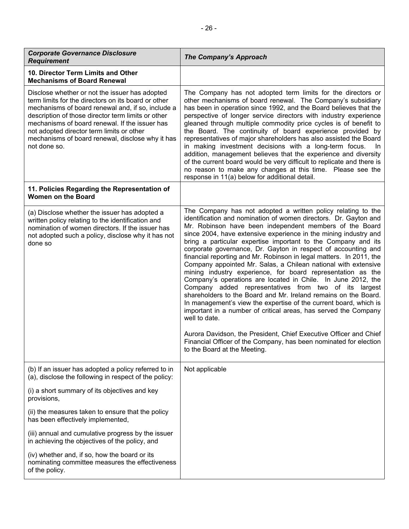| <b>Corporate Governance Disclosure</b><br><b>Requirement</b>                                                                                                                                                                                                                                                                                                                        | <b>The Company's Approach</b>                                                                                                                                                                                                                                                                                                                                                                                                                                                                                                                                                                                                                                                                                                                                                                                                                                                                                                                                                                                                                                                                                                            |
|-------------------------------------------------------------------------------------------------------------------------------------------------------------------------------------------------------------------------------------------------------------------------------------------------------------------------------------------------------------------------------------|------------------------------------------------------------------------------------------------------------------------------------------------------------------------------------------------------------------------------------------------------------------------------------------------------------------------------------------------------------------------------------------------------------------------------------------------------------------------------------------------------------------------------------------------------------------------------------------------------------------------------------------------------------------------------------------------------------------------------------------------------------------------------------------------------------------------------------------------------------------------------------------------------------------------------------------------------------------------------------------------------------------------------------------------------------------------------------------------------------------------------------------|
| 10. Director Term Limits and Other<br><b>Mechanisms of Board Renewal</b>                                                                                                                                                                                                                                                                                                            |                                                                                                                                                                                                                                                                                                                                                                                                                                                                                                                                                                                                                                                                                                                                                                                                                                                                                                                                                                                                                                                                                                                                          |
| Disclose whether or not the issuer has adopted<br>term limits for the directors on its board or other<br>mechanisms of board renewal and, if so, include a<br>description of those director term limits or other<br>mechanisms of board renewal. If the issuer has<br>not adopted director term limits or other<br>mechanisms of board renewal, disclose why it has<br>not done so. | The Company has not adopted term limits for the directors or<br>other mechanisms of board renewal. The Company's subsidiary<br>has been in operation since 1992, and the Board believes that the<br>perspective of longer service directors with industry experience<br>gleaned through multiple commodity price cycles is of benefit to<br>the Board. The continuity of board experience provided by<br>representatives of major shareholders has also assisted the Board<br>in making investment decisions with a long-term focus.<br>In.<br>addition, management believes that the experience and diversity<br>of the current board would be very difficult to replicate and there is<br>no reason to make any changes at this time. Please see the<br>response in 11(a) below for additional detail.                                                                                                                                                                                                                                                                                                                                 |
| 11. Policies Regarding the Representation of<br><b>Women on the Board</b>                                                                                                                                                                                                                                                                                                           |                                                                                                                                                                                                                                                                                                                                                                                                                                                                                                                                                                                                                                                                                                                                                                                                                                                                                                                                                                                                                                                                                                                                          |
| (a) Disclose whether the issuer has adopted a<br>written policy relating to the identification and<br>nomination of women directors. If the issuer has<br>not adopted such a policy, disclose why it has not<br>done so                                                                                                                                                             | The Company has not adopted a written policy relating to the<br>identification and nomination of women directors. Dr. Gayton and<br>Mr. Robinson have been independent members of the Board<br>since 2004, have extensive experience in the mining industry and<br>bring a particular expertise important to the Company and its<br>corporate governance, Dr. Gayton in respect of accounting and<br>financial reporting and Mr. Robinson in legal matters. In 2011, the<br>Company appointed Mr. Salas, a Chilean national with extensive<br>mining industry experience, for board representation as the<br>Company's operations are located in Chile. In June 2012, the<br>Company added representatives from two of its largest<br>shareholders to the Board and Mr. Ireland remains on the Board.<br>In management's view the expertise of the current board, which is<br>important in a number of critical areas, has served the Company<br>well to date.<br>Aurora Davidson, the President, Chief Executive Officer and Chief<br>Financial Officer of the Company, has been nominated for election<br>to the Board at the Meeting. |
| (b) If an issuer has adopted a policy referred to in<br>(a), disclose the following in respect of the policy:                                                                                                                                                                                                                                                                       | Not applicable                                                                                                                                                                                                                                                                                                                                                                                                                                                                                                                                                                                                                                                                                                                                                                                                                                                                                                                                                                                                                                                                                                                           |
| (i) a short summary of its objectives and key<br>provisions,                                                                                                                                                                                                                                                                                                                        |                                                                                                                                                                                                                                                                                                                                                                                                                                                                                                                                                                                                                                                                                                                                                                                                                                                                                                                                                                                                                                                                                                                                          |
| (ii) the measures taken to ensure that the policy<br>has been effectively implemented,                                                                                                                                                                                                                                                                                              |                                                                                                                                                                                                                                                                                                                                                                                                                                                                                                                                                                                                                                                                                                                                                                                                                                                                                                                                                                                                                                                                                                                                          |
| (iii) annual and cumulative progress by the issuer<br>in achieving the objectives of the policy, and                                                                                                                                                                                                                                                                                |                                                                                                                                                                                                                                                                                                                                                                                                                                                                                                                                                                                                                                                                                                                                                                                                                                                                                                                                                                                                                                                                                                                                          |
| (iv) whether and, if so, how the board or its<br>nominating committee measures the effectiveness<br>of the policy.                                                                                                                                                                                                                                                                  |                                                                                                                                                                                                                                                                                                                                                                                                                                                                                                                                                                                                                                                                                                                                                                                                                                                                                                                                                                                                                                                                                                                                          |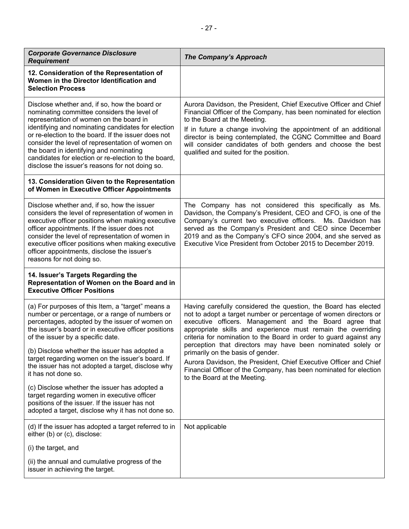| <b>Corporate Governance Disclosure</b><br><b>Requirement</b>                                                                                                                                                                                                                                                                                                                                                                                                   | <b>The Company's Approach</b>                                                                                                                                                                                                                                                                                                                                                                                                            |
|----------------------------------------------------------------------------------------------------------------------------------------------------------------------------------------------------------------------------------------------------------------------------------------------------------------------------------------------------------------------------------------------------------------------------------------------------------------|------------------------------------------------------------------------------------------------------------------------------------------------------------------------------------------------------------------------------------------------------------------------------------------------------------------------------------------------------------------------------------------------------------------------------------------|
| 12. Consideration of the Representation of<br>Women in the Director Identification and<br><b>Selection Process</b>                                                                                                                                                                                                                                                                                                                                             |                                                                                                                                                                                                                                                                                                                                                                                                                                          |
| Disclose whether and, if so, how the board or<br>nominating committee considers the level of<br>representation of women on the board in<br>identifying and nominating candidates for election<br>or re-election to the board. If the issuer does not<br>consider the level of representation of women on<br>the board in identifying and nominating<br>candidates for election or re-election to the board,<br>disclose the issuer's reasons for not doing so. | Aurora Davidson, the President, Chief Executive Officer and Chief<br>Financial Officer of the Company, has been nominated for election<br>to the Board at the Meeting.<br>If in future a change involving the appointment of an additional<br>director is being contemplated, the CGNC Committee and Board<br>will consider candidates of both genders and choose the best<br>qualified and suited for the position.                     |
| 13. Consideration Given to the Representation<br>of Women in Executive Officer Appointments                                                                                                                                                                                                                                                                                                                                                                    |                                                                                                                                                                                                                                                                                                                                                                                                                                          |
| Disclose whether and, if so, how the issuer<br>considers the level of representation of women in<br>executive officer positions when making executive<br>officer appointments. If the issuer does not<br>consider the level of representation of women in<br>executive officer positions when making executive<br>officer appointments, disclose the issuer's<br>reasons for not doing so.                                                                     | The Company has not considered this specifically as Ms.<br>Davidson, the Company's President, CEO and CFO, is one of the<br>Company's current two executive officers. Ms. Davidson has<br>served as the Company's President and CEO since December<br>2019 and as the Company's CFO since 2004, and she served as<br>Executive Vice President from October 2015 to December 2019.                                                        |
| 14. Issuer's Targets Regarding the<br>Representation of Women on the Board and in<br><b>Executive Officer Positions</b>                                                                                                                                                                                                                                                                                                                                        |                                                                                                                                                                                                                                                                                                                                                                                                                                          |
| (a) For purposes of this Item, a "target" means a<br>number or percentage, or a range of numbers or<br>percentages, adopted by the issuer of women on<br>the issuer's board or in executive officer positions<br>of the issuer by a specific date.<br>(b) Disclose whether the issuer has adopted a<br>target regarding women on the issuer's board. If                                                                                                        | Having carefully considered the question, the Board has elected<br>not to adopt a target number or percentage of women directors or<br>executive officers. Management and the Board agree that<br>appropriate skills and experience must remain the overriding<br>criteria for nomination to the Board in order to guard against any<br>perception that directors may have been nominated solely or<br>primarily on the basis of gender. |
| the issuer has not adopted a target, disclose why<br>it has not done so.                                                                                                                                                                                                                                                                                                                                                                                       | Aurora Davidson, the President, Chief Executive Officer and Chief<br>Financial Officer of the Company, has been nominated for election<br>to the Board at the Meeting.                                                                                                                                                                                                                                                                   |
| (c) Disclose whether the issuer has adopted a<br>target regarding women in executive officer<br>positions of the issuer. If the issuer has not<br>adopted a target, disclose why it has not done so.                                                                                                                                                                                                                                                           |                                                                                                                                                                                                                                                                                                                                                                                                                                          |
| (d) If the issuer has adopted a target referred to in<br>either (b) or (c), disclose:                                                                                                                                                                                                                                                                                                                                                                          | Not applicable                                                                                                                                                                                                                                                                                                                                                                                                                           |
| (i) the target, and                                                                                                                                                                                                                                                                                                                                                                                                                                            |                                                                                                                                                                                                                                                                                                                                                                                                                                          |
| (ii) the annual and cumulative progress of the<br>issuer in achieving the target.                                                                                                                                                                                                                                                                                                                                                                              |                                                                                                                                                                                                                                                                                                                                                                                                                                          |